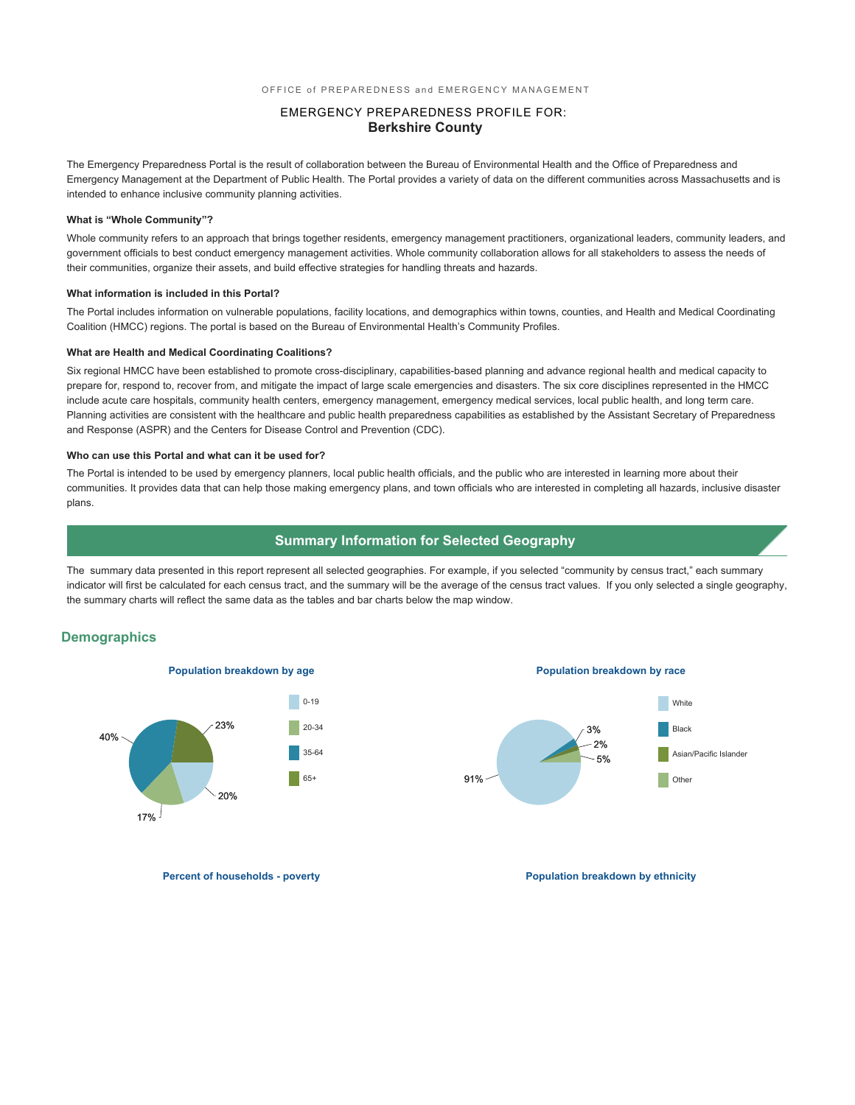## EMERGENCY PREPAREDNESS PROFILE FOR: **Berkshire County**

The Emergency Preparedness Portal is the result of collaboration between the Bureau of Environmental Health and the Office of Preparedness and Emergency Management at the Department of Public Health. The Portal provides a variety of data on the different communities across Massachusetts and is intended to enhance inclusive community planning activities.

#### **What is "Whole Community"?**

Whole community refers to an approach that brings together residents, emergency management practitioners, organizational leaders, community leaders, and government officials to best conduct emergency management activities. Whole community collaboration allows for all stakeholders to assess the needs of their communities, organize their assets, and build effective strategies for handling threats and hazards.

#### **What information is included in this Portal?**

The Portal includes information on vulnerable populations, facility locations, and demographics within towns, counties, and Health and Medical Coordinating Coalition (HMCC) regions. The portal is based on the Bureau of Environmental Health's Community Profiles.

#### **What are Health and Medical Coordinating Coalitions?**

Six regional HMCC have been established to promote cross-disciplinary, capabilities-based planning and advance regional health and medical capacity to prepare for, respond to, recover from, and mitigate the impact of large scale emergencies and disasters. The six core disciplines represented in the HMCC include acute care hospitals, community health centers, emergency management, emergency medical services, local public health, and long term care. Planning activities are consistent with the healthcare and public health preparedness capabilities as established by the Assistant Secretary of Preparedness and Response (ASPR) and the Centers for Disease Control and Prevention (CDC).

#### **Who can use this Portal and what can it be used for?**

The Portal is intended to be used by emergency planners, local public health officials, and the public who are interested in learning more about their communities. It provides data that can help those making emergency plans, and town officials who are interested in completing all hazards, inclusive disaster plans.

### **Summary Information for Selected Geography**

The summary data presented in this report represent all selected geographies. For example, if you selected "community by census tract," each summary indicator will first be calculated for each census tract, and the summary will be the average of the census tract values. If you only selected a single geography, the summary charts will reflect the same data as the tables and bar charts below the map window.

### **Demographics**





**Percent of households - poverty and the powerty of the population breakdown by ethnicity**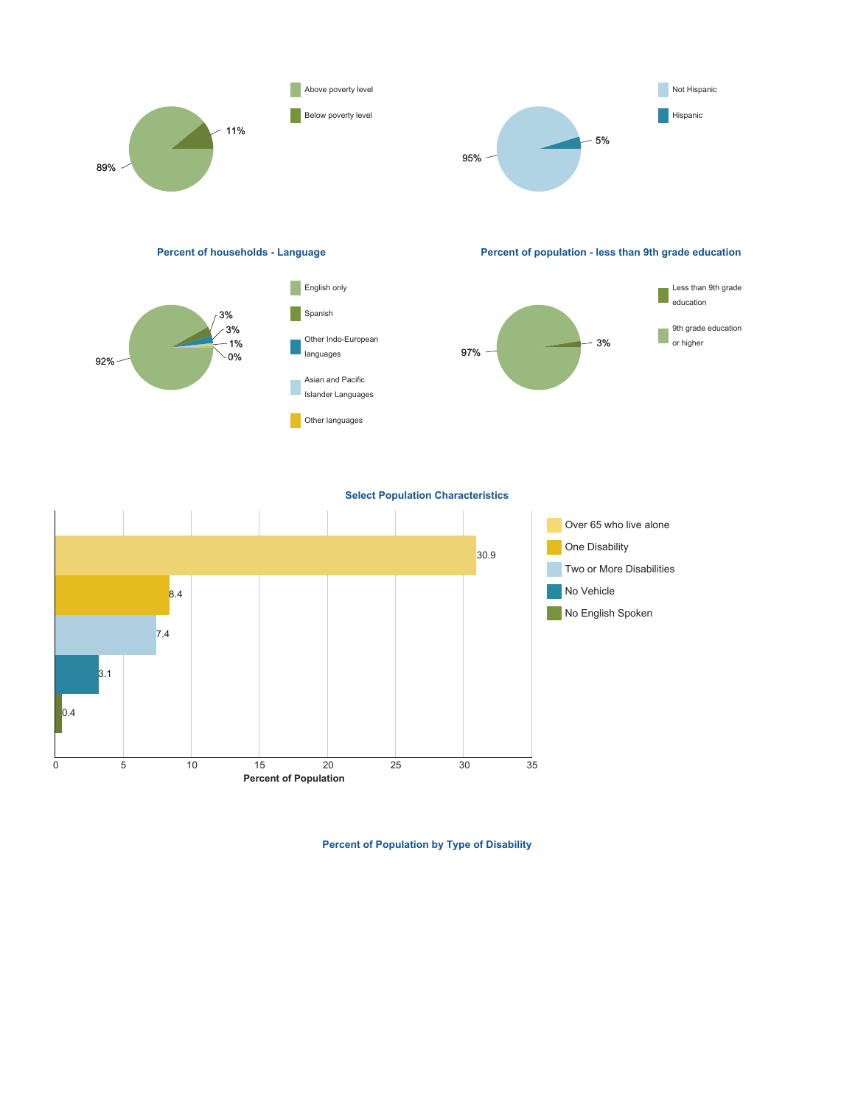





**Percent of households - Language Percent of population - less than 9th grade education**



**Select Population Characteristics**



**Percent of Population by Type of Disability**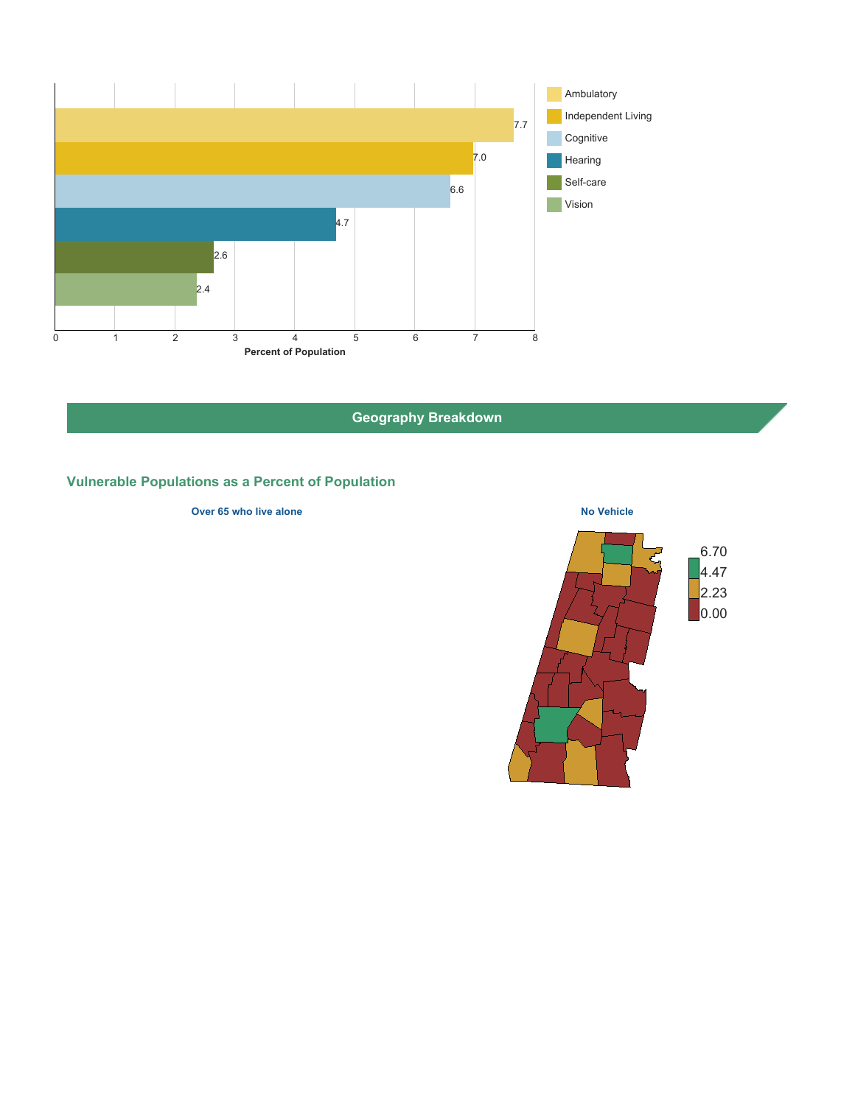

**Geography Breakdown**

# **Vulnerable Populations as a Percent of Population**

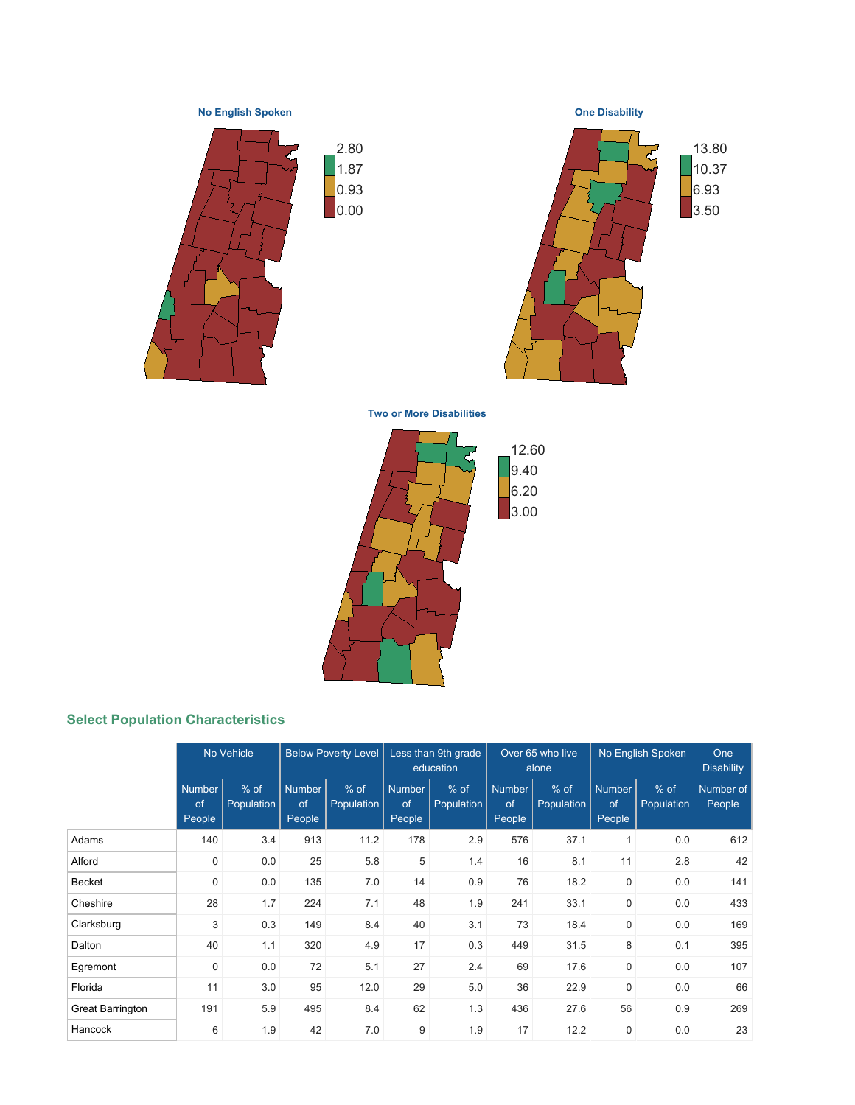**No English Spoken**









**Two or More Disabilities**



# **Select Population Characteristics**

|                         |                               | No Vehicle                  |                               | <b>Below Poverty Level</b> |                        | Less than 9th grade<br>education | Over 65 who live<br>alone     |                      |                               | No English Spoken    | One<br><b>Disability</b> |
|-------------------------|-------------------------------|-----------------------------|-------------------------------|----------------------------|------------------------|----------------------------------|-------------------------------|----------------------|-------------------------------|----------------------|--------------------------|
|                         | <b>Number</b><br>of<br>People | $%$ of<br><b>Population</b> | <b>Number</b><br>of<br>People | $%$ of<br>Population       | Number<br>of<br>People | $%$ of<br>Population             | <b>Number</b><br>of<br>People | $%$ of<br>Population | <b>Number</b><br>of<br>People | $%$ of<br>Population | Number of<br>People      |
| Adams                   | 140                           | 3.4                         | 913                           | 11.2                       | 178                    | 2.9                              | 576                           | 37.1                 | 1                             | 0.0                  | 612                      |
| Alford                  | $\boldsymbol{0}$              | 0.0                         | 25                            | 5.8                        | 5                      | 1.4                              | 16                            | 8.1                  | 11                            | 2.8                  | 42                       |
| <b>Becket</b>           | 0                             | 0.0                         | 135                           | 7.0                        | 14                     | 0.9                              | 76                            | 18.2                 | $\mathbf 0$                   | 0.0                  | 141                      |
| Cheshire                | 28                            | 1.7                         | 224                           | 7.1                        | 48                     | 1.9                              | 241                           | 33.1                 | $\mathbf 0$                   | 0.0                  | 433                      |
| Clarksburg              | 3                             | 0.3                         | 149                           | 8.4                        | 40                     | 3.1                              | 73                            | 18.4                 | $\mathbf 0$                   | 0.0                  | 169                      |
| Dalton                  | 40                            | 1.1                         | 320                           | 4.9                        | 17                     | 0.3                              | 449                           | 31.5                 | 8                             | 0.1                  | 395                      |
| Egremont                | $\boldsymbol{0}$              | 0.0                         | 72                            | 5.1                        | 27                     | 2.4                              | 69                            | 17.6                 | $\mathbf 0$                   | 0.0                  | 107                      |
| Florida                 | 11                            | 3.0                         | 95                            | 12.0                       | 29                     | 5.0                              | 36                            | 22.9                 | $\mathbf 0$                   | 0.0                  | 66                       |
| <b>Great Barrington</b> | 191                           | 5.9                         | 495                           | 8.4                        | 62                     | 1.3                              | 436                           | 27.6                 | 56                            | 0.9                  | 269                      |
| Hancock                 | 6                             | 1.9                         | 42                            | 7.0                        | 9                      | 1.9                              | 17                            | 12.2                 | 0                             | 0.0                  | 23                       |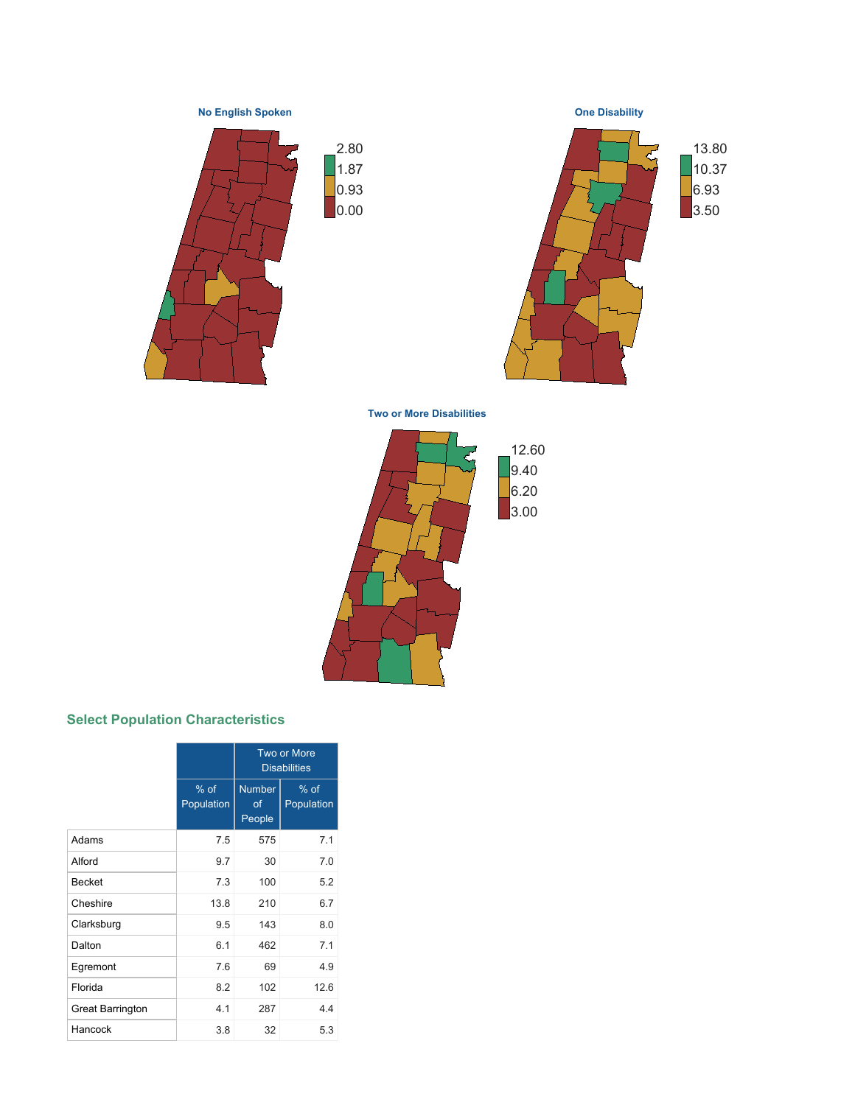**No English Spoken**









**Two or More Disabilities**



# **Select Population Characteristics**

|                         |                      |                                                       | Two or More<br><b>Disabilities</b> |  |  |
|-------------------------|----------------------|-------------------------------------------------------|------------------------------------|--|--|
|                         | $%$ of<br>Population | <b>Number</b><br>$%$ of<br>Population<br>of<br>People |                                    |  |  |
| Adams                   | 7.5                  | 575                                                   | 7.1                                |  |  |
| Alford                  | 9.7                  | 30                                                    | 7.0                                |  |  |
| <b>Becket</b>           | 7.3                  | 100                                                   | 5.2                                |  |  |
| Cheshire                | 13.8                 | 210                                                   | 6.7                                |  |  |
| Clarksburg              | 9.5                  | 143                                                   | 8.0                                |  |  |
| Dalton                  | 6.1                  | 462                                                   | 7.1                                |  |  |
| Egremont                | 7.6                  | 69                                                    | 4.9                                |  |  |
| Florida                 | 8.2                  | 102                                                   | 12.6                               |  |  |
| <b>Great Barrington</b> | 4.1                  | 287                                                   | 44                                 |  |  |
| Hancock                 | 3.8                  | 32                                                    | 5.3                                |  |  |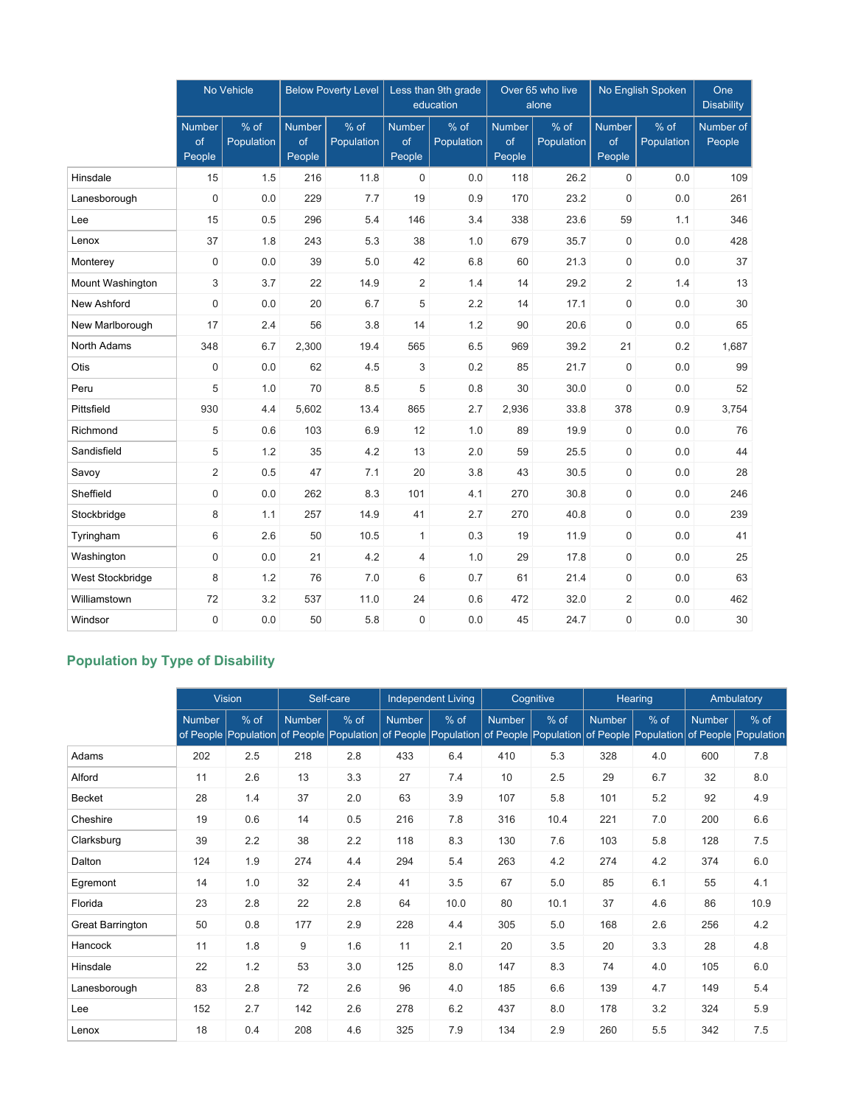|                  |                        | No Vehicle         |                               | <b>Below Poverty Level</b> |                               | Less than 9th grade<br>education | Over 65 who live<br>alone     |                    |                               | No English Spoken  | One<br><b>Disability</b> |
|------------------|------------------------|--------------------|-------------------------------|----------------------------|-------------------------------|----------------------------------|-------------------------------|--------------------|-------------------------------|--------------------|--------------------------|
|                  | Number<br>of<br>People | % of<br>Population | <b>Number</b><br>of<br>People | % of<br>Population         | <b>Number</b><br>of<br>People | % of<br>Population               | <b>Number</b><br>of<br>People | % of<br>Population | <b>Number</b><br>of<br>People | % of<br>Population | Number of<br>People      |
| Hinsdale         | 15                     | 1.5                | 216                           | 11.8                       | $\mathbf 0$                   | 0.0                              | 118                           | 26.2               | 0                             | 0.0                | 109                      |
| Lanesborough     | $\mathbf 0$            | 0.0                | 229                           | 7.7                        | 19                            | 0.9                              | 170                           | 23.2               | $\boldsymbol{0}$              | 0.0                | 261                      |
| Lee              | 15                     | 0.5                | 296                           | 5.4                        | 146                           | 3.4                              | 338                           | 23.6               | 59                            | 1.1                | 346                      |
| Lenox            | 37                     | 1.8                | 243                           | 5.3                        | 38                            | 1.0                              | 679                           | 35.7               | $\mathbf 0$                   | 0.0                | 428                      |
| Monterey         | $\mathbf 0$            | 0.0                | 39                            | 5.0                        | 42                            | 6.8                              | 60                            | 21.3               | 0                             | 0.0                | 37                       |
| Mount Washington | 3                      | 3.7                | 22                            | 14.9                       | 2                             | 1.4                              | 14                            | 29.2               | $\overline{2}$                | 1.4                | 13                       |
| New Ashford      | $\mathbf 0$            | 0.0                | 20                            | 6.7                        | 5                             | 2.2                              | 14                            | 17.1               | 0                             | 0.0                | 30                       |
| New Marlborough  | 17                     | 2.4                | 56                            | 3.8                        | 14                            | 1.2                              | 90                            | 20.6               | $\boldsymbol{0}$              | 0.0                | 65                       |
| North Adams      | 348                    | 6.7                | 2,300                         | 19.4                       | 565                           | 6.5                              | 969                           | 39.2               | 21                            | 0.2                | 1,687                    |
| Otis             | $\mathbf 0$            | 0.0                | 62                            | 4.5                        | 3                             | 0.2                              | 85                            | 21.7               | 0                             | 0.0                | 99                       |
| Peru             | 5                      | 1.0                | 70                            | 8.5                        | 5                             | 0.8                              | 30                            | 30.0               | 0                             | 0.0                | 52                       |
| Pittsfield       | 930                    | 4.4                | 5,602                         | 13.4                       | 865                           | 2.7                              | 2,936                         | 33.8               | 378                           | 0.9                | 3,754                    |
| Richmond         | 5                      | 0.6                | 103                           | 6.9                        | 12                            | 1.0                              | 89                            | 19.9               | $\pmb{0}$                     | 0.0                | 76                       |
| Sandisfield      | 5                      | 1.2                | 35                            | 4.2                        | 13                            | 2.0                              | 59                            | 25.5               | $\boldsymbol{0}$              | 0.0                | 44                       |
| Savoy            | $\overline{2}$         | 0.5                | 47                            | 7.1                        | 20                            | 3.8                              | 43                            | 30.5               | 0                             | 0.0                | 28                       |
| Sheffield        | $\mathsf 0$            | 0.0                | 262                           | 8.3                        | 101                           | 4.1                              | 270                           | 30.8               | 0                             | 0.0                | 246                      |
| Stockbridge      | 8                      | 1.1                | 257                           | 14.9                       | 41                            | 2.7                              | 270                           | 40.8               | 0                             | 0.0                | 239                      |
| Tyringham        | 6                      | 2.6                | 50                            | 10.5                       | 1                             | 0.3                              | 19                            | 11.9               | 0                             | 0.0                | 41                       |
| Washington       | $\boldsymbol{0}$       | 0.0                | 21                            | 4.2                        | 4                             | 1.0                              | 29                            | 17.8               | $\pmb{0}$                     | 0.0                | 25                       |
| West Stockbridge | 8                      | 1.2                | 76                            | 7.0                        | 6                             | 0.7                              | 61                            | 21.4               | $\pmb{0}$                     | 0.0                | 63                       |
| Williamstown     | 72                     | 3.2                | 537                           | 11.0                       | 24                            | 0.6                              | 472                           | 32.0               | 2                             | 0.0                | 462                      |
| Windsor          | $\mathbf 0$            | 0.0                | 50                            | 5.8                        | $\mathbf 0$                   | 0.0                              | 45                            | 24.7               | 0                             | 0.0                | 30                       |

# **Population by Type of Disability**

|                         | <b>Vision</b> |        |               | Self-care                                                                                                                               |               | <b>Independent Living</b> |               | Cognitive |               | Hearing | Ambulatory    |        |
|-------------------------|---------------|--------|---------------|-----------------------------------------------------------------------------------------------------------------------------------------|---------------|---------------------------|---------------|-----------|---------------|---------|---------------|--------|
|                         | <b>Number</b> | $%$ of | <b>Number</b> | $%$ of<br>of People Population of People Population of People Population of People Population of People Population of People Population | <b>Number</b> | $%$ of                    | <b>Number</b> | % of      | <b>Number</b> | % of    | <b>Number</b> | $%$ of |
| Adams                   | 202           | 2.5    | 218           | 2.8                                                                                                                                     | 433           | 6.4                       | 410           | 5.3       | 328           | 4.0     | 600           | 7.8    |
| Alford                  | 11            | 2.6    | 13            | 3.3                                                                                                                                     | 27            | 7.4                       | 10            | 2.5       | 29            | 6.7     | 32            | 8.0    |
| Becket                  | 28            | 1.4    | 37            | 2.0                                                                                                                                     | 63            | 3.9                       | 107           | 5.8       | 101           | 5.2     | 92            | 4.9    |
| Cheshire                | 19            | 0.6    | 14            | 0.5                                                                                                                                     | 216           | 7.8                       | 316           | 10.4      | 221           | 7.0     | 200           | 6.6    |
| Clarksburg              | 39            | 2.2    | 38            | 2.2                                                                                                                                     | 118           | 8.3                       | 130           | 7.6       | 103           | 5.8     | 128           | 7.5    |
| Dalton                  | 124           | 1.9    | 274           | 4.4                                                                                                                                     | 294           | 5.4                       | 263           | 4.2       | 274           | 4.2     | 374           | 6.0    |
| Egremont                | 14            | 1.0    | 32            | 2.4                                                                                                                                     | 41            | 3.5                       | 67            | 5.0       | 85            | 6.1     | 55            | 4.1    |
| Florida                 | 23            | 2.8    | 22            | 2.8                                                                                                                                     | 64            | 10.0                      | 80            | 10.1      | 37            | 4.6     | 86            | 10.9   |
| <b>Great Barrington</b> | 50            | 0.8    | 177           | 2.9                                                                                                                                     | 228           | 4.4                       | 305           | 5.0       | 168           | 2.6     | 256           | 4.2    |
| Hancock                 | 11            | 1.8    | 9             | 1.6                                                                                                                                     | 11            | 2.1                       | 20            | 3.5       | 20            | 3.3     | 28            | 4.8    |
| Hinsdale                | 22            | 1.2    | 53            | 3.0                                                                                                                                     | 125           | 8.0                       | 147           | 8.3       | 74            | 4.0     | 105           | 6.0    |
| Lanesborough            | 83            | 2.8    | 72            | 2.6                                                                                                                                     | 96            | 4.0                       | 185           | 6.6       | 139           | 4.7     | 149           | 5.4    |
| Lee                     | 152           | 2.7    | 142           | 2.6                                                                                                                                     | 278           | 6.2                       | 437           | 8.0       | 178           | 3.2     | 324           | 5.9    |
| Lenox                   | 18            | 0.4    | 208           | 4.6                                                                                                                                     | 325           | 7.9                       | 134           | 2.9       | 260           | 5.5     | 342           | 7.5    |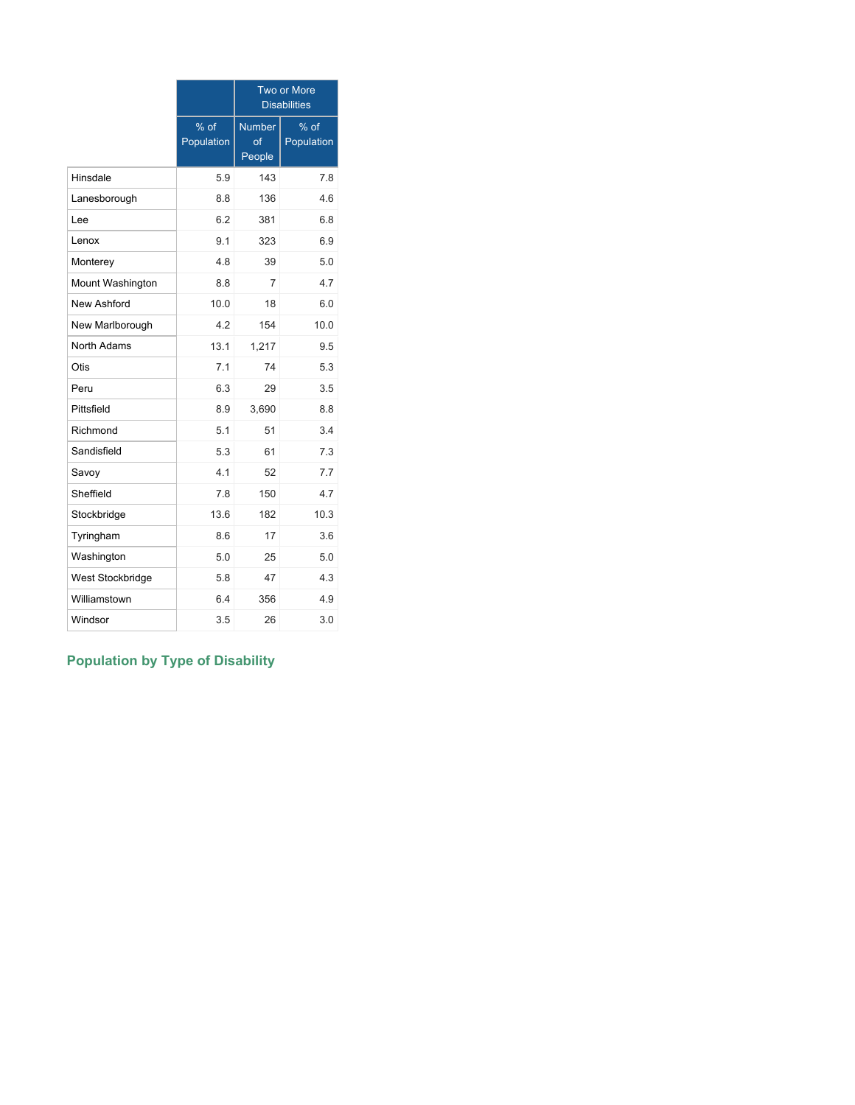|                  |                    |                               | Two or More<br><b>Disabilities</b> |
|------------------|--------------------|-------------------------------|------------------------------------|
|                  | % of<br>Population | <b>Number</b><br>of<br>People | % of<br>Population                 |
| Hinsdale         | 5.9                | 143                           | 7.8                                |
| Lanesborough     | 8.8                | 136                           | 4.6                                |
| Lee              | 6.2                | 381                           | 6.8                                |
| Lenox            | 9.1                | 323                           | 6.9                                |
| Monterey         | 4.8                | 39                            | 5.0                                |
| Mount Washington | 8.8                | 7                             | 4.7                                |
| New Ashford      | 10.0               | 18                            | 6.0                                |
| New Marlborough  | 4.2                | 154                           | 10.0                               |
| North Adams      | 13.1               | 1,217                         | 9.5                                |
| Otis             | 7.1                | 74                            | 5.3                                |
| Peru             | 6.3                | 29                            | 3.5                                |
| Pittsfield       | 8.9                | 3,690                         | 8.8                                |
| Richmond         | 5.1                | 51                            | 3.4                                |
| Sandisfield      | 5.3                | 61                            | 7.3                                |
| Savoy            | 4 1                | 52                            | 7.7                                |
| Sheffield        | 7.8                | 150                           | 4.7                                |
| Stockbridge      | 13.6               | 182                           | 10.3                               |
| Tyringham        | 8.6                | 17                            | 3.6                                |
| Washington       | 5.0                | 25                            | 5.0                                |
| West Stockbridge | 5.8                | 47                            | 4.3                                |
| Williamstown     | 6.4                | 356                           | 4.9                                |
| Windsor          | 3.5                | 26                            | 3.0                                |

# **Population by Type of Disability**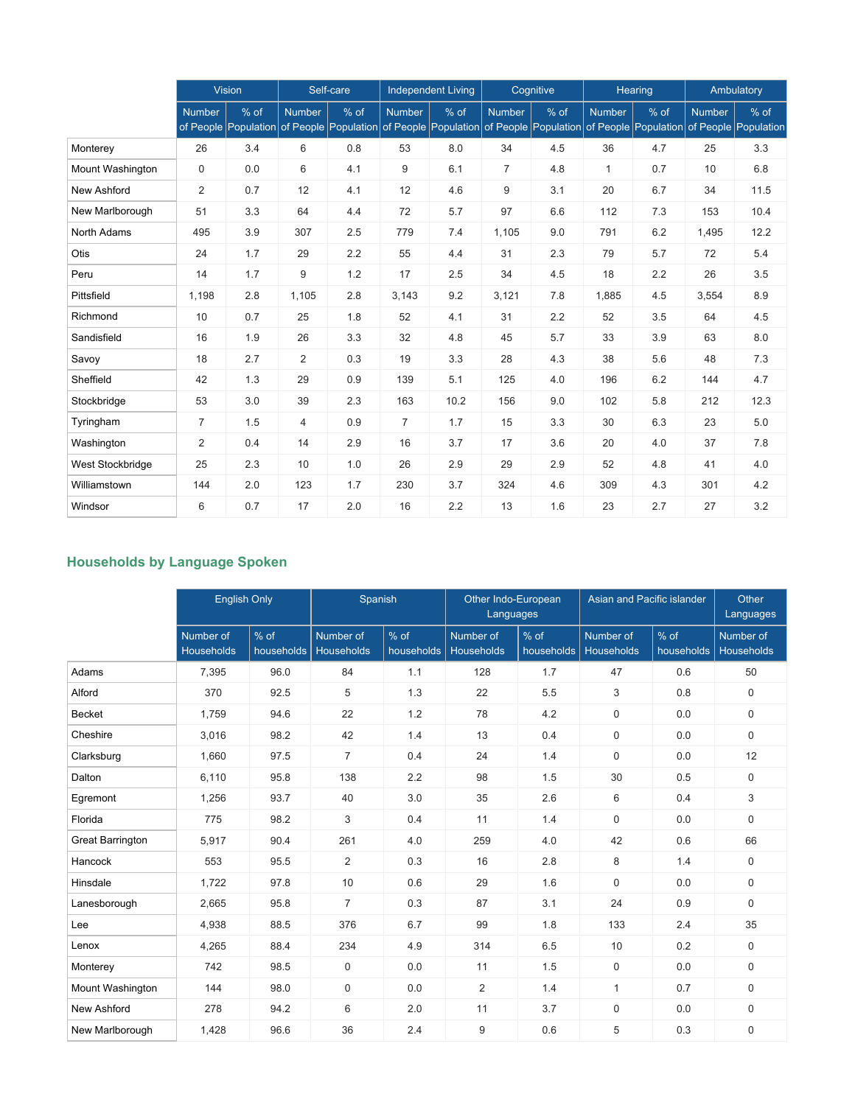|                         |                | <b>Vision</b>                |                | Self-care |                | <b>Independent Living</b>                         |                | Cognitive                                         |               | Hearing | Ambulatory    |                                |
|-------------------------|----------------|------------------------------|----------------|-----------|----------------|---------------------------------------------------|----------------|---------------------------------------------------|---------------|---------|---------------|--------------------------------|
|                         | <b>Number</b>  | % of<br>of People Population | <b>Number</b>  | % of      | <b>Number</b>  | % of<br>of People Population of People Population | <b>Number</b>  | % of<br>of People Population of People Population | <b>Number</b> | % of    | <b>Number</b> | $%$ of<br>of People Population |
| Monterey                | 26             | 3.4                          | 6              | 0.8       | 53             | 8.0                                               | 34             | 4.5                                               | 36            | 4.7     | 25            | 3.3                            |
| <b>Mount Washington</b> | 0              | 0.0                          | 6              | 4.1       | 9              | 6.1                                               | $\overline{7}$ | 4.8                                               | $\mathbf{1}$  | 0.7     | 10            | 6.8                            |
| New Ashford             | 2              | 0.7                          | 12             | 4.1       | 12             | 4.6                                               | 9              | 3.1                                               | 20            | 6.7     | 34            | 11.5                           |
| New Marlborough         | 51             | 3.3                          | 64             | 4.4       | 72             | 5.7                                               | 97             | 6.6                                               | 112           | 7.3     | 153           | 10.4                           |
| North Adams             | 495            | 3.9                          | 307            | 2.5       | 779            | 7.4                                               | 1,105          | 9.0                                               | 791           | 6.2     | 1,495         | 12.2                           |
| Otis                    | 24             | 1.7                          | 29             | 2.2       | 55             | 4.4                                               | 31             | 2.3                                               | 79            | 5.7     | 72            | 5.4                            |
| Peru                    | 14             | 1.7                          | 9              | 1.2       | 17             | 2.5                                               | 34             | 4.5                                               | 18            | 2.2     | 26            | 3.5                            |
| Pittsfield              | 1,198          | 2.8                          | 1,105          | 2.8       | 3,143          | 9.2                                               | 3,121          | 7.8                                               | 1,885         | 4.5     | 3,554         | 8.9                            |
| Richmond                | 10             | 0.7                          | 25             | 1.8       | 52             | 4.1                                               | 31             | 2.2                                               | 52            | 3.5     | 64            | 4.5                            |
| Sandisfield             | 16             | 1.9                          | 26             | 3.3       | 32             | 4.8                                               | 45             | 5.7                                               | 33            | 3.9     | 63            | 8.0                            |
| Savoy                   | 18             | 2.7                          | $\overline{2}$ | 0.3       | 19             | 3.3                                               | 28             | 4.3                                               | 38            | 5.6     | 48            | 7.3                            |
| Sheffield               | 42             | 1.3                          | 29             | 0.9       | 139            | 5.1                                               | 125            | 4.0                                               | 196           | 6.2     | 144           | 4.7                            |
| Stockbridge             | 53             | 3.0                          | 39             | 2.3       | 163            | 10.2                                              | 156            | 9.0                                               | 102           | 5.8     | 212           | 12.3                           |
| Tyringham               | $\overline{7}$ | 1.5                          | $\overline{4}$ | 0.9       | $\overline{7}$ | 1.7                                               | 15             | 3.3                                               | 30            | 6.3     | 23            | 5.0                            |
| Washington              | 2              | 0.4                          | 14             | 2.9       | 16             | 3.7                                               | 17             | 3.6                                               | 20            | 4.0     | 37            | 7.8                            |
| West Stockbridge        | 25             | 2.3                          | 10             | 1.0       | 26             | 2.9                                               | 29             | 2.9                                               | 52            | 4.8     | 41            | 4.0                            |
| Williamstown            | 144            | 2.0                          | 123            | 1.7       | 230            | 3.7                                               | 324            | 4.6                                               | 309           | 4.3     | 301           | 4.2                            |
| Windsor                 | 6              | 0.7                          | 17             | 2.0       | 16             | 2.2                                               | 13             | 1.6                                               | 23            | 2.7     | 27            | 3.2                            |

# **Households by Language Spoken**

|                         | <b>English Only</b>            |                                |                                | Spanish<br>Other Indo-European<br>Languages |                                | Asian and Pacific islander |                         | Other<br>Languages |                                |
|-------------------------|--------------------------------|--------------------------------|--------------------------------|---------------------------------------------|--------------------------------|----------------------------|-------------------------|--------------------|--------------------------------|
|                         | Number of<br><b>Households</b> | $\frac{9}{6}$ of<br>households | Number of<br><b>Households</b> | % of<br>households                          | Number of<br><b>Households</b> | % of<br>households         | Number of<br>Households | % of<br>households | Number of<br><b>Households</b> |
| Adams                   | 7,395                          | 96.0                           | 84                             | 1.1                                         | 128                            | 1.7                        | 47                      | 0.6                | 50                             |
| Alford                  | 370                            | 92.5                           | 5                              | 1.3                                         | 22                             | 5.5                        | 3                       | 0.8                | 0                              |
| <b>Becket</b>           | 1,759                          | 94.6                           | 22                             | 1.2                                         | 78                             | 4.2                        | $\mathbf 0$             | 0.0                | $\mathbf 0$                    |
| Cheshire                | 3,016                          | 98.2                           | 42                             | 1.4                                         | 13                             | 0.4                        | $\mathbf 0$             | 0.0                | $\mathbf 0$                    |
| Clarksburg              | 1,660                          | 97.5                           | $\overline{7}$                 | 0.4                                         | 24                             | 1.4                        | $\mathbf 0$             | 0.0                | 12                             |
| Dalton                  | 6,110                          | 95.8                           | 138                            | 2.2                                         | 98                             | 1.5                        | 30                      | 0.5                | $\Omega$                       |
| Egremont                | 1,256                          | 93.7                           | 40                             | 3.0                                         | 35                             | 2.6                        | 6                       | 0.4                | 3                              |
| Florida                 | 775                            | 98.2                           | 3                              | 0.4                                         | 11                             | 1.4                        | 0                       | 0.0                | $\mathbf 0$                    |
| <b>Great Barrington</b> | 5,917                          | 90.4                           | 261                            | 4.0                                         | 259                            | 4.0                        | 42                      | 0.6                | 66                             |
| Hancock                 | 553                            | 95.5                           | $\overline{2}$                 | 0.3                                         | 16                             | 2.8                        | 8                       | 1.4                | 0                              |
| Hinsdale                | 1,722                          | 97.8                           | 10                             | 0.6                                         | 29                             | 1.6                        | $\mathbf 0$             | 0.0                | 0                              |
| Lanesborough            | 2,665                          | 95.8                           | $\overline{7}$                 | 0.3                                         | 87                             | 3.1                        | 24                      | 0.9                | $\mathbf 0$                    |
| Lee                     | 4,938                          | 88.5                           | 376                            | 6.7                                         | 99                             | 1.8                        | 133                     | 2.4                | 35                             |
| Lenox                   | 4,265                          | 88.4                           | 234                            | 4.9                                         | 314                            | 6.5                        | 10                      | 0.2                | $\mathbf 0$                    |
| Monterey                | 742                            | 98.5                           | $\mathbf 0$                    | 0.0                                         | 11                             | 1.5                        | $\mathbf 0$             | 0.0                | $\mathbf 0$                    |
| Mount Washington        | 144                            | 98.0                           | $\mathbf 0$                    | 0.0                                         | 2                              | 1.4                        | $\mathbf{1}$            | 0.7                | $\mathbf 0$                    |
| New Ashford             | 278                            | 94.2                           | 6                              | 2.0                                         | 11                             | 3.7                        | $\mathbf 0$             | 0.0                | $\mathbf 0$                    |
| New Marlborough         | 1,428                          | 96.6                           | 36                             | 2.4                                         | 9                              | 0.6                        | 5                       | 0.3                | 0                              |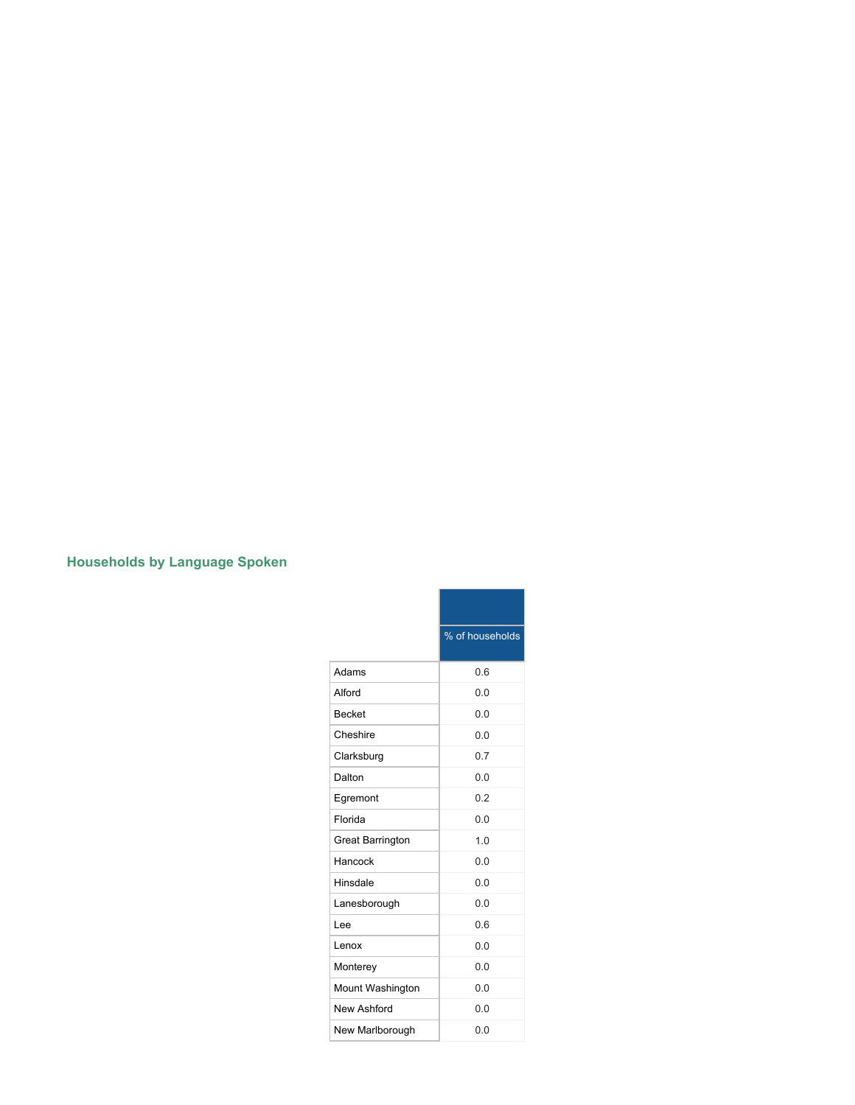# **Households by Language Spoken**

|                         | % of households |
|-------------------------|-----------------|
| Adams                   | 0.6             |
| Alford                  | 0.0             |
| <b>Becket</b>           | 0.0             |
| Cheshire                | 0 <sub>0</sub>  |
| Clarksburg              | 0.7             |
| Dalton                  | 0.0             |
| Egremont                | 0.2             |
| Florida                 | 0.0             |
| <b>Great Barrington</b> | 1.0             |
| Hancock                 | 0.0             |
| Hinsdale                | 0.0             |
| Lanesborough            | 0.0             |
| l ee                    | 0.6             |
| Lenox                   | 0.0             |
| Monterey                | 0.0             |
| Mount Washington        | 0.0             |
| New Ashford             | 0.0             |
| New Marlborough         | 0 Q             |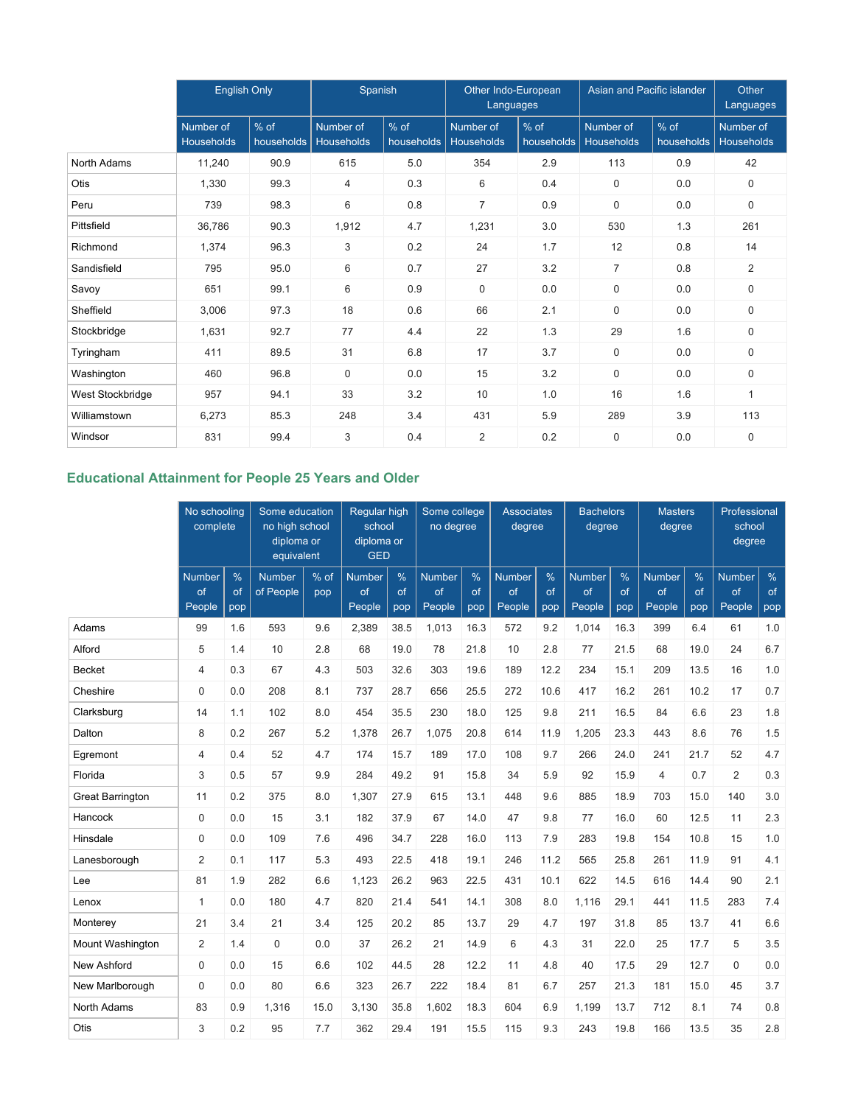|                  | <b>English Only</b>            |                      | Spanish                 |                      | Other Indo-European<br>Languages |                    | Asian and Pacific islander     |                      | Other<br>Languages             |
|------------------|--------------------------------|----------------------|-------------------------|----------------------|----------------------------------|--------------------|--------------------------------|----------------------|--------------------------------|
|                  | Number of<br><b>Households</b> | $%$ of<br>households | Number of<br>Households | $%$ of<br>households | Number of<br><b>Households</b>   | % of<br>households | Number of<br><b>Households</b> | $%$ of<br>households | Number of<br><b>Households</b> |
| North Adams      | 11,240                         | 90.9                 | 615                     | 5.0                  | 354                              | 2.9                | 113                            | 0.9                  | 42                             |
| Otis             | 1,330                          | 99.3                 | $\overline{4}$          | 0.3                  | 6                                | 0.4                | 0                              | 0.0                  | 0                              |
| Peru             | 739                            | 98.3                 | 6                       | 0.8                  | $\overline{7}$                   | 0.9                | 0                              | 0.0                  | 0                              |
| Pittsfield       | 36,786                         | 90.3                 | 1,912                   | 4.7                  | 1,231                            | 3.0                | 530                            | 1.3                  | 261                            |
| Richmond         | 1,374                          | 96.3                 | 3                       | 0.2                  | 24                               | 1.7                | 12                             | 0.8                  | 14                             |
| Sandisfield      | 795                            | 95.0                 | 6                       | 0.7                  | 27                               | 3.2                | $\overline{7}$                 | 0.8                  | $\overline{2}$                 |
| Savoy            | 651                            | 99.1                 | 6                       | 0.9                  | $\mathbf 0$                      | 0.0                | 0                              | 0.0                  | 0                              |
| Sheffield        | 3,006                          | 97.3                 | 18                      | 0.6                  | 66                               | 2.1                | 0                              | 0.0                  | $\mathbf 0$                    |
| Stockbridge      | 1,631                          | 92.7                 | 77                      | 4.4                  | 22                               | 1.3                | 29                             | 1.6                  | $\Omega$                       |
| Tyringham        | 411                            | 89.5                 | 31                      | 6.8                  | 17                               | 3.7                | 0                              | 0.0                  | 0                              |
| Washington       | 460                            | 96.8                 | $\mathbf 0$             | 0.0                  | 15                               | 3.2                | 0                              | 0.0                  | 0                              |
| West Stockbridge | 957                            | 94.1                 | 33                      | 3.2                  | 10                               | 1.0                | 16                             | 1.6                  | 1                              |
| Williamstown     | 6,273                          | 85.3                 | 248                     | 3.4                  | 431                              | 5.9                | 289                            | 3.9                  | 113                            |
| Windsor          | 831                            | 99.4                 | 3                       | 0.4                  | $\overline{2}$                   | 0.2                | 0                              | 0.0                  | $\mathbf 0$                    |

# **Educational Attainment for People 25 Years and Older**

|                         |                               | No schooling<br>complete   |                            | Some education<br>no high school<br>diploma or<br>equivalent |                               | Regular high<br>school<br>diploma or<br><b>GED</b> |                               | Some college<br>no degree |                               | <b>Associates</b><br>degree |                               |                            |                               | <b>Bachelors</b><br>degree | <b>Masters</b><br>degree      |                            | Professional<br>school<br>degree |  |
|-------------------------|-------------------------------|----------------------------|----------------------------|--------------------------------------------------------------|-------------------------------|----------------------------------------------------|-------------------------------|---------------------------|-------------------------------|-----------------------------|-------------------------------|----------------------------|-------------------------------|----------------------------|-------------------------------|----------------------------|----------------------------------|--|
|                         | <b>Number</b><br>of<br>People | $\frac{9}{6}$<br>of<br>pop | <b>Number</b><br>of People | % of<br>pop                                                  | <b>Number</b><br>of<br>People | %<br>of<br>pop                                     | <b>Number</b><br>of<br>People | %<br>of<br>pop            | <b>Number</b><br>of<br>People | %<br>of<br>pop              | <b>Number</b><br>of<br>People | $\frac{9}{6}$<br>of<br>pop | <b>Number</b><br>of<br>People | %<br>of<br>pop             | <b>Number</b><br>of<br>People | $\frac{9}{6}$<br>of<br>pop |                                  |  |
| Adams                   | 99                            | 1.6                        | 593                        | 9.6                                                          | 2,389                         | 38.5                                               | 1,013                         | 16.3                      | 572                           | 9.2                         | 1,014                         | 16.3                       | 399                           | 6.4                        | 61                            | 1.0                        |                                  |  |
| Alford                  | 5                             | 1.4                        | 10                         | 2.8                                                          | 68                            | 19.0                                               | 78                            | 21.8                      | 10                            | 2.8                         | 77                            | 21.5                       | 68                            | 19.0                       | 24                            | 6.7                        |                                  |  |
| <b>Becket</b>           | $\overline{4}$                | 0.3                        | 67                         | 4.3                                                          | 503                           | 32.6                                               | 303                           | 19.6                      | 189                           | 12.2                        | 234                           | 15.1                       | 209                           | 13.5                       | 16                            | 1.0                        |                                  |  |
| Cheshire                | $\mathbf 0$                   | 0.0                        | 208                        | 8.1                                                          | 737                           | 28.7                                               | 656                           | 25.5                      | 272                           | 10.6                        | 417                           | 16.2                       | 261                           | 10.2                       | 17                            | 0.7                        |                                  |  |
| Clarksburg              | 14                            | 1.1                        | 102                        | 8.0                                                          | 454                           | 35.5                                               | 230                           | 18.0                      | 125                           | 9.8                         | 211                           | 16.5                       | 84                            | 6.6                        | 23                            | 1.8                        |                                  |  |
| Dalton                  | 8                             | 0.2                        | 267                        | 5.2                                                          | 1,378                         | 26.7                                               | 1,075                         | 20.8                      | 614                           | 11.9                        | 1,205                         | 23.3                       | 443                           | 8.6                        | 76                            | 1.5                        |                                  |  |
| Egremont                | 4                             | 0.4                        | 52                         | 4.7                                                          | 174                           | 15.7                                               | 189                           | 17.0                      | 108                           | 9.7                         | 266                           | 24.0                       | 241                           | 21.7                       | 52                            | 4.7                        |                                  |  |
| Florida                 | 3                             | 0.5                        | 57                         | 9.9                                                          | 284                           | 49.2                                               | 91                            | 15.8                      | 34                            | 5.9                         | 92                            | 15.9                       | 4                             | 0.7                        | $\overline{2}$                | 0.3                        |                                  |  |
| <b>Great Barrington</b> | 11                            | 0.2                        | 375                        | 8.0                                                          | 1,307                         | 27.9                                               | 615                           | 13.1                      | 448                           | 9.6                         | 885                           | 18.9                       | 703                           | 15.0                       | 140                           | 3.0                        |                                  |  |
| Hancock                 | $\mathbf 0$                   | 0.0                        | 15                         | 3.1                                                          | 182                           | 37.9                                               | 67                            | 14.0                      | 47                            | 9.8                         | 77                            | 16.0                       | 60                            | 12.5                       | 11                            | 2.3                        |                                  |  |
| Hinsdale                | $\mathbf 0$                   | 0.0                        | 109                        | 7.6                                                          | 496                           | 34.7                                               | 228                           | 16.0                      | 113                           | 7.9                         | 283                           | 19.8                       | 154                           | 10.8                       | 15                            | 1.0                        |                                  |  |
| Lanesborough            | 2                             | 0.1                        | 117                        | 5.3                                                          | 493                           | 22.5                                               | 418                           | 19.1                      | 246                           | 11.2                        | 565                           | 25.8                       | 261                           | 11.9                       | 91                            | 4.1                        |                                  |  |
| Lee                     | 81                            | 1.9                        | 282                        | 6.6                                                          | 1,123                         | 26.2                                               | 963                           | 22.5                      | 431                           | 10.1                        | 622                           | 14.5                       | 616                           | 14.4                       | 90                            | 2.1                        |                                  |  |
| Lenox                   | $\mathbf{1}$                  | 0.0                        | 180                        | 4.7                                                          | 820                           | 21.4                                               | 541                           | 14.1                      | 308                           | 8.0                         | 1,116                         | 29.1                       | 441                           | 11.5                       | 283                           | 7.4                        |                                  |  |
| Monterey                | 21                            | 3.4                        | 21                         | 3.4                                                          | 125                           | 20.2                                               | 85                            | 13.7                      | 29                            | 4.7                         | 197                           | 31.8                       | 85                            | 13.7                       | 41                            | 6.6                        |                                  |  |
| Mount Washington        | $\overline{2}$                | 1.4                        | 0                          | 0.0                                                          | 37                            | 26.2                                               | 21                            | 14.9                      | 6                             | 4.3                         | 31                            | 22.0                       | 25                            | 17.7                       | 5                             | 3.5                        |                                  |  |
| New Ashford             | $\mathbf 0$                   | 0.0                        | 15                         | 6.6                                                          | 102                           | 44.5                                               | 28                            | 12.2                      | 11                            | 4.8                         | 40                            | 17.5                       | 29                            | 12.7                       | $\mathbf 0$                   | 0.0                        |                                  |  |
| New Marlborough         | $\mathbf 0$                   | 0.0                        | 80                         | 6.6                                                          | 323                           | 26.7                                               | 222                           | 18.4                      | 81                            | 6.7                         | 257                           | 21.3                       | 181                           | 15.0                       | 45                            | 3.7                        |                                  |  |
| North Adams             | 83                            | 0.9                        | 1,316                      | 15.0                                                         | 3,130                         | 35.8                                               | 1,602                         | 18.3                      | 604                           | 6.9                         | 1,199                         | 13.7                       | 712                           | 8.1                        | 74                            | 0.8                        |                                  |  |
| Otis                    | 3                             | 0.2                        | 95                         | 7.7                                                          | 362                           | 29.4                                               | 191                           | 15.5                      | 115                           | 9.3                         | 243                           | 19.8                       | 166                           | 13.5                       | 35                            | 2.8                        |                                  |  |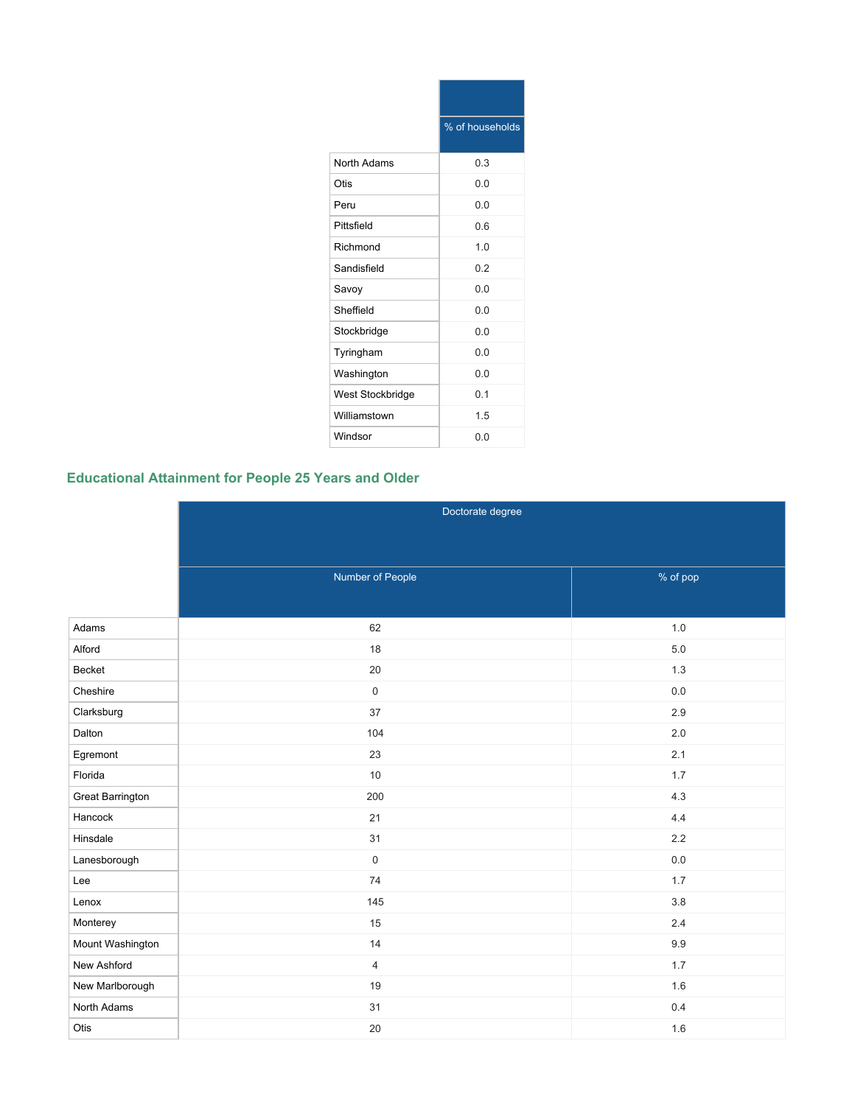|                  | % of households |
|------------------|-----------------|
| North Adams      | 0.3             |
| Otis             | 0.0             |
| Peru             | 0.0             |
| Pittsfield       | 0.6             |
| Richmond         | 1.0             |
| Sandisfield      | 0.2             |
| Savoy            | 0.0             |
| Sheffield        | 0.0             |
| Stockbridge      | 0.0             |
| Tyringham        | 0.0             |
| Washington       | 0.0             |
| West Stockbridge | 0.1             |
| Williamstown     | 1.5             |
| Windsor          | 0.0             |

# **Educational Attainment for People 25 Years and Older**

|                  | Doctorate degree    |          |
|------------------|---------------------|----------|
|                  |                     |          |
|                  | Number of People    | % of pop |
|                  |                     |          |
| Adams            | 62                  | 1.0      |
| Alford           | 18                  | $5.0$    |
| Becket           | 20                  | 1.3      |
| Cheshire         | $\mathsf{O}\xspace$ | 0.0      |
| Clarksburg       | 37                  | 2.9      |
| Dalton           | 104                 | 2.0      |
| Egremont         | 23                  | 2.1      |
| Florida          | 10                  | 1.7      |
| Great Barrington | 200                 | 4.3      |
| Hancock          | 21                  | 4.4      |
| Hinsdale         | 31                  | 2.2      |
| Lanesborough     | $\mathsf 0$         | $0.0\,$  |
| Lee              | 74                  | 1.7      |
| Lenox            | 145                 | $3.8\,$  |
| Monterey         | 15                  | $2.4\,$  |
| Mount Washington | 14                  | 9.9      |
| New Ashford      | $\overline{4}$      | 1.7      |
| New Marlborough  | 19                  | 1.6      |
| North Adams      | 31                  | 0.4      |
| Otis             | $20\,$              | 1.6      |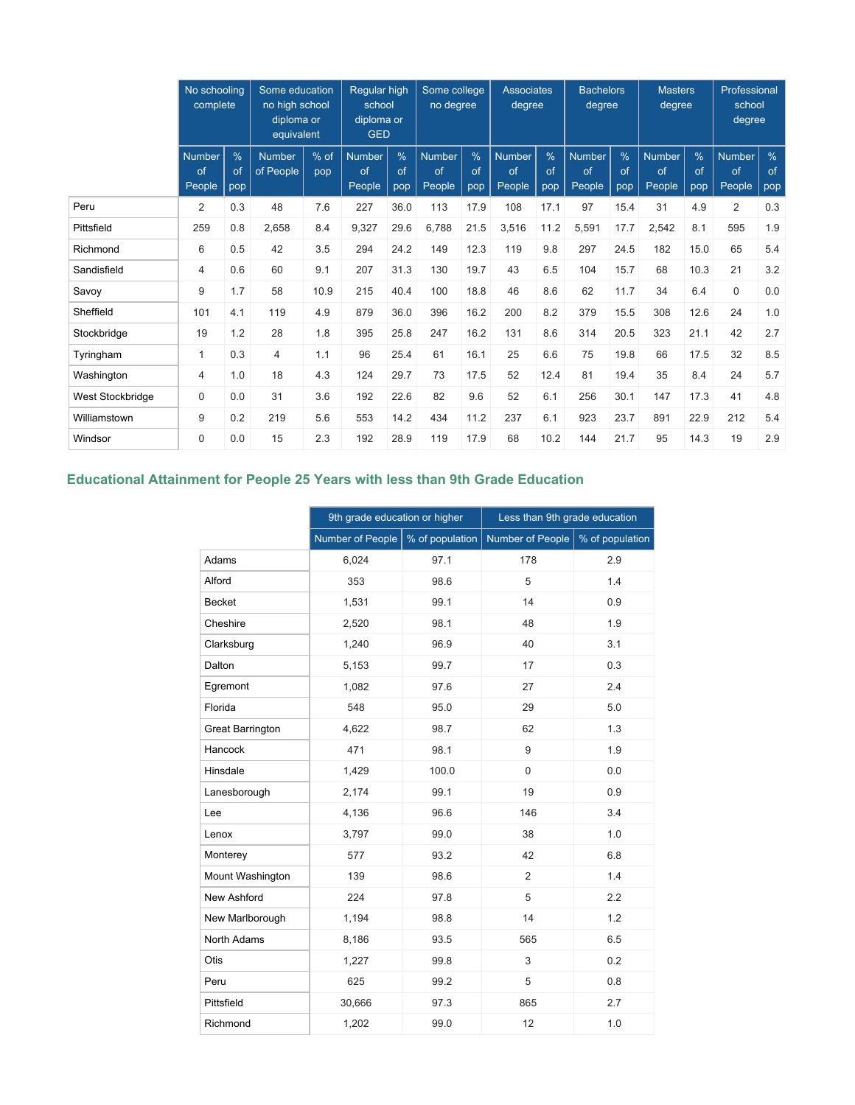|                  | No schooling<br>complete |                | Some education<br>no high school<br>diploma or<br>equivalent |             | Regular high<br>school<br>diploma or<br><b>GED</b> |                | Some college<br>no degree     |                | <b>Associates</b><br>degree          |                            | <b>Bachelors</b><br>degree    |                | <b>Masters</b><br>degree      |                | Professional<br>school<br>degree |                |
|------------------|--------------------------|----------------|--------------------------------------------------------------|-------------|----------------------------------------------------|----------------|-------------------------------|----------------|--------------------------------------|----------------------------|-------------------------------|----------------|-------------------------------|----------------|----------------------------------|----------------|
|                  | Number<br>of<br>People   | %<br>of<br>pop | <b>Number</b><br>of People                                   | % of<br>pop | <b>Number</b><br>of<br>People                      | %<br>of<br>pop | <b>Number</b><br>of<br>People | %<br>of<br>pop | <b>Number</b><br>of<br><b>People</b> | $\frac{9}{6}$<br>of<br>pop | <b>Number</b><br>of<br>People | %<br>of<br>pop | <b>Number</b><br>of<br>People | %<br>of<br>pop | <b>Number</b><br>of<br>People    | %<br>of<br>pop |
| Peru             | 2                        | 0.3            | 48                                                           | 7.6         | 227                                                | 36.0           | 113                           | 17.9           | 108                                  | 17.1                       | 97                            | 15.4           | 31                            | 4.9            | $\overline{2}$                   | 0.3            |
| Pittsfield       | 259                      | 0.8            | 2,658                                                        | 8.4         | 9,327                                              | 29.6           | 6,788                         | 21.5           | 3,516                                | 11.2                       | 5,591                         | 17.7           | 2,542                         | 8.1            | 595                              | 1.9            |
| Richmond         | 6                        | 0.5            | 42                                                           | 3.5         | 294                                                | 24.2           | 149                           | 12.3           | 119                                  | 9.8                        | 297                           | 24.5           | 182                           | 15.0           | 65                               | 5.4            |
| Sandisfield      | 4                        | 0.6            | 60                                                           | 9.1         | 207                                                | 31.3           | 130                           | 19.7           | 43                                   | 6.5                        | 104                           | 15.7           | 68                            | 10.3           | 21                               | 3.2            |
| Savoy            | 9                        | 1.7            | 58                                                           | 10.9        | 215                                                | 40.4           | 100                           | 18.8           | 46                                   | 8.6                        | 62                            | 11.7           | 34                            | 6.4            | $\mathbf 0$                      | 0.0            |
| Sheffield        | 101                      | 4.1            | 119                                                          | 4.9         | 879                                                | 36.0           | 396                           | 16.2           | 200                                  | 8.2                        | 379                           | 15.5           | 308                           | 12.6           | 24                               | 1.0            |
| Stockbridge      | 19                       | 1.2            | 28                                                           | 1.8         | 395                                                | 25.8           | 247                           | 16.2           | 131                                  | 8.6                        | 314                           | 20.5           | 323                           | 21.1           | 42                               | 2.7            |
| Tyringham        | $\mathbf{1}$             | 0.3            | $\overline{4}$                                               | 1.1         | 96                                                 | 25.4           | 61                            | 16.1           | 25                                   | 6.6                        | 75                            | 19.8           | 66                            | 17.5           | 32                               | 8.5            |
| Washington       | $\overline{4}$           | 1.0            | 18                                                           | 4.3         | 124                                                | 29.7           | 73                            | 17.5           | 52                                   | 12.4                       | 81                            | 19.4           | 35                            | 8.4            | 24                               | 5.7            |
| West Stockbridge | $\mathbf 0$              | 0.0            | 31                                                           | 3.6         | 192                                                | 22.6           | 82                            | 9.6            | 52                                   | 6.1                        | 256                           | 30.1           | 147                           | 17.3           | 41                               | 4.8            |
| Williamstown     | 9                        | 0.2            | 219                                                          | 5.6         | 553                                                | 14.2           | 434                           | 11.2           | 237                                  | 6.1                        | 923                           | 23.7           | 891                           | 22.9           | 212                              | 5.4            |
| Windsor          | $\Omega$                 | 0.0            | 15                                                           | 2.3         | 192                                                | 28.9           | 119                           | 17.9           | 68                                   | 10.2                       | 144                           | 21.7           | 95                            | 14.3           | 19                               | 2.9            |

# **Educational Attainment for People 25 Years with less than 9th Grade Education**

|                         | 9th grade education or higher |                 | Less than 9th grade education |                 |  |
|-------------------------|-------------------------------|-----------------|-------------------------------|-----------------|--|
|                         | Number of People              | % of population | Number of People              | % of population |  |
| Adams                   | 6,024                         | 97.1            | 178                           | 2.9             |  |
| Alford                  | 353                           | 98.6            | 5                             | 1.4             |  |
| <b>Becket</b>           | 1,531                         | 99.1            | 14                            | 0.9             |  |
| Cheshire                | 2,520                         | 98.1            | 48                            | 1.9             |  |
| Clarksburg              | 1,240                         | 96.9            | 40                            | 3.1             |  |
| Dalton                  | 5,153                         | 99.7            | 17                            | 0.3             |  |
| Egremont                | 1,082                         | 97.6            | 27                            | 2.4             |  |
| Florida                 | 548                           | 95.0            | 29                            | 5.0             |  |
| <b>Great Barrington</b> | 4,622                         | 98.7            | 62                            | 1.3             |  |
| Hancock                 | 471                           | 98.1            | 9                             | 1.9             |  |
| Hinsdale                | 1,429                         | 100.0           | 0                             | 0.0             |  |
| Lanesborough            | 2,174                         | 99.1            | 19                            | 0.9             |  |
| Lee                     | 4,136                         | 96.6            | 146                           | 3.4             |  |
| Lenox                   | 3,797                         | 99.0            | 38                            | 1.0             |  |
| Monterey                | 577                           | 93.2            | 42                            | 6.8             |  |
| Mount Washington        | 139                           | 98.6            | $\overline{2}$                | 1.4             |  |
| <b>New Ashford</b>      | 224                           | 97.8            | 5                             | 2.2             |  |
| New Marlborough         | 1,194                         | 98.8            | 14                            | 1.2             |  |
| North Adams             | 8,186                         | 93.5            | 565                           | 6.5             |  |
| Otis                    | 1,227                         | 99.8            | 3                             | 0.2             |  |
| Peru                    | 625                           | 99.2            | 5                             | 0.8             |  |
| Pittsfield              | 30,666                        | 97.3            | 865                           | 2.7             |  |
| Richmond                | 1,202                         | 99.0            | 12                            | 1.0             |  |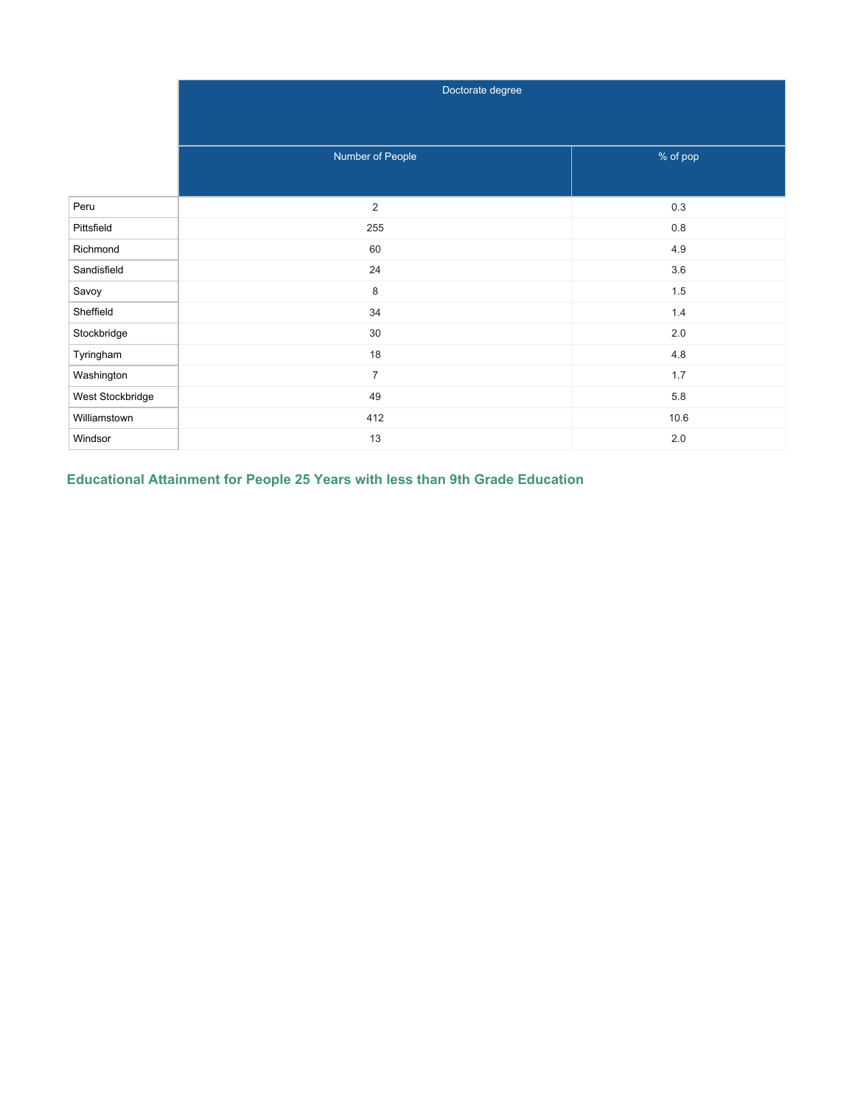|                  | Doctorate degree |          |  |  |  |
|------------------|------------------|----------|--|--|--|
|                  |                  |          |  |  |  |
|                  |                  |          |  |  |  |
|                  | Number of People | % of pop |  |  |  |
|                  |                  |          |  |  |  |
| Peru             | $\overline{c}$   | $0.3\,$  |  |  |  |
| Pittsfield       | 255              | $0.8\,$  |  |  |  |
| Richmond         | 60               | 4.9      |  |  |  |
| Sandisfield      | 24               | 3.6      |  |  |  |
| Savoy            | 8                | $1.5\,$  |  |  |  |
| Sheffield        | 34               | $1.4\,$  |  |  |  |
| Stockbridge      | 30               | 2.0      |  |  |  |
| Tyringham        | $18$             | 4.8      |  |  |  |
| Washington       | $\overline{7}$   | 1.7      |  |  |  |
| West Stockbridge | 49               | 5.8      |  |  |  |
| Williamstown     | 412              | 10.6     |  |  |  |
| Windsor          | 13               | $2.0\,$  |  |  |  |

**Educational Attainment for People 25 Years with less than 9th Grade Education**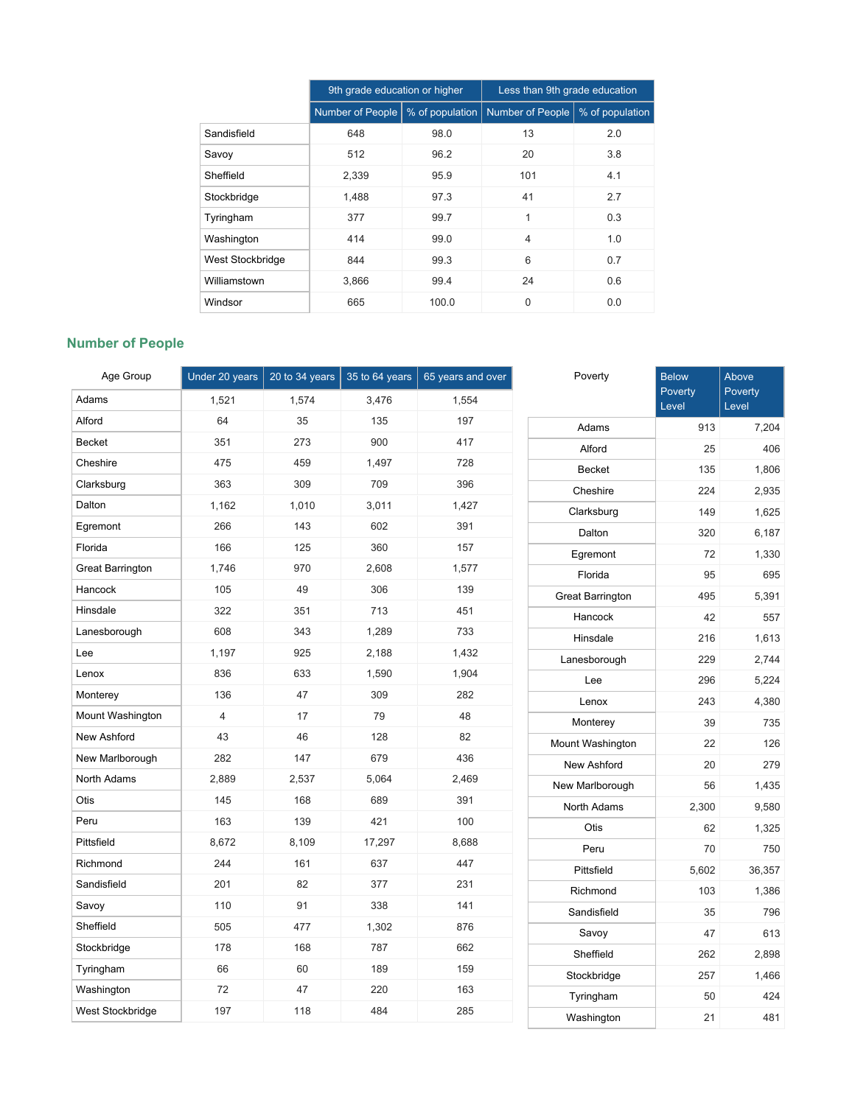|                  | 9th grade education or higher |                 | Less than 9th grade education |                 |  |
|------------------|-------------------------------|-----------------|-------------------------------|-----------------|--|
|                  | Number of People              | % of population | <b>Number of People</b>       | % of population |  |
| Sandisfield      | 648                           | 98.0            | 13                            | 2.0             |  |
| Savoy            | 512                           | 96.2            | 20                            | 3.8             |  |
| Sheffield        | 2,339                         | 95.9            | 101                           | 4.1             |  |
| Stockbridge      | 1,488                         | 97.3            | 41                            | 2.7             |  |
| Tyringham        | 377                           | 99.7            | 1                             | 0.3             |  |
| Washington       | 414                           | 99.0            | $\overline{4}$                | 1.0             |  |
| West Stockbridge | 844                           | 99.3            | 6                             | 0.7             |  |
| Williamstown     | 3,866                         | 99.4            | 24                            | 0.6             |  |
| Windsor          | 665                           | 100.0           | $\mathbf 0$                   | 0.0             |  |

# **Number of People**

| Age Group               | Under 20 years | 20 to 34 years | 35 to 64 years | 65 years and over | Poverty                 | <b>Below</b>     | Above            |
|-------------------------|----------------|----------------|----------------|-------------------|-------------------------|------------------|------------------|
| Adams                   | 1,521          | 1,574          | 3,476          | 1,554             |                         | Poverty<br>Level | Poverty<br>Level |
| Alford                  | 64             | 35             | 135            | 197               | Adams                   | 913              | 7,204            |
| <b>Becket</b>           | 351            | 273            | 900            | 417               | Alford                  | 25               | 406              |
| Cheshire                | 475            | 459            | 1,497          | 728               | Becket                  | 135              | 1,806            |
| Clarksburg              | 363            | 309            | 709            | 396               | Cheshire                | 224              | 2,935            |
| Dalton                  | 1,162          | 1,010          | 3,011          | 1,427             | Clarksburg              | 149              | 1,625            |
| Egremont                | 266            | 143            | 602            | 391               | Dalton                  | 320              | 6,187            |
| Florida                 | 166            | 125            | 360            | 157               | Egremont                | 72               | 1,330            |
| <b>Great Barrington</b> | 1,746          | 970            | 2,608          | 1,577             | Florida                 | 95               | 695              |
| Hancock                 | 105            | 49             | 306            | 139               | <b>Great Barrington</b> | 495              | 5,391            |
| Hinsdale                | 322            | 351            | 713            | 451               | Hancock                 | 42               | 557              |
| Lanesborough            | 608            | 343            | 1,289          | 733               | Hinsdale                | 216              | 1,613            |
| Lee                     | 1,197          | 925            | 2,188          | 1,432             | Lanesborough            | 229              | 2,744            |
| Lenox                   | 836            | 633            | 1,590          | 1,904             | Lee                     | 296              | 5,224            |
| Monterey                | 136            | 47             | 309            | 282               | Lenox                   | 243              | 4,380            |
| Mount Washington        | $\overline{4}$ | 17             | 79             | 48                | Monterey                | 39               | 735              |
| New Ashford             | 43             | 46             | 128            | 82                | Mount Washington        | 22               | 126              |
| New Marlborough         | 282            | 147            | 679            | 436               | New Ashford             | 20               | 279              |
| North Adams             | 2,889          | 2,537          | 5,064          | 2,469             | New Marlborough         | 56               | 1,435            |
| Otis                    | 145            | 168            | 689            | 391               | North Adams             | 2,300            | 9,580            |
| Peru                    | 163            | 139            | 421            | 100               | Otis                    | 62               | 1,325            |
| Pittsfield              | 8,672          | 8,109          | 17,297         | 8,688             | Peru                    | 70               | 750              |
| Richmond                | 244            | 161            | 637            | 447               | Pittsfield              | 5,602            | 36,357           |
| Sandisfield             | 201            | 82             | 377            | 231               | Richmond                | 103              | 1,386            |
| Savoy                   | 110            | 91             | 338            | 141               | Sandisfield             | 35               | 796              |
| Sheffield               | 505            | 477            | 1,302          | 876               | Savoy                   | 47               | 613              |
| Stockbridge             | 178            | 168            | 787            | 662               | Sheffield               | 262              | 2,898            |
| Tyringham               | 66             | 60             | 189            | 159               | Stockbridge             | 257              | 1,466            |
| Washington              | 72             | 47             | 220            | 163               | Tyringham               | 50               | 424              |
| West Stockbridge        | 197            | 118            | 484            | 285               | Washington              | 21               | 481              |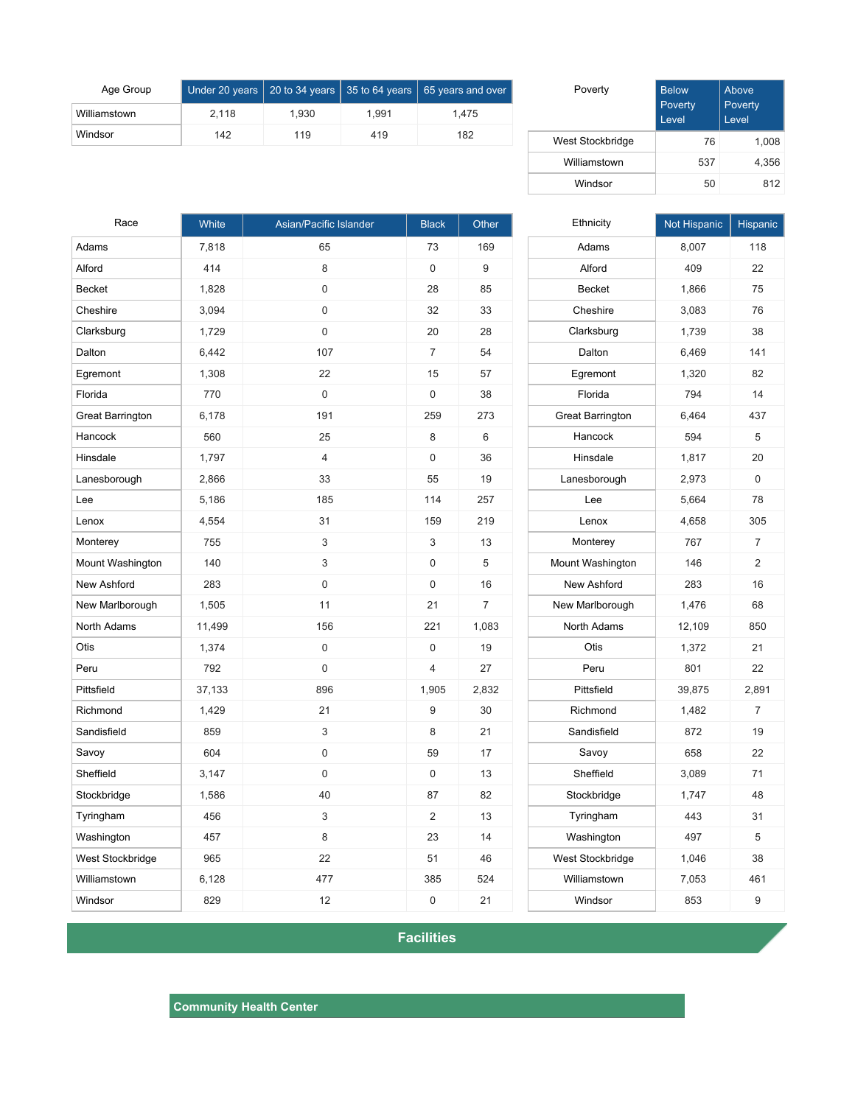| Age Group    |       |       |       | Under 20 years 20 to 34 years 35 to 64 years 65 years and over |
|--------------|-------|-------|-------|----------------------------------------------------------------|
| Williamstown | 2.118 | 1.930 | 1.991 | 1.475                                                          |
| Windsor      | 142   | 119   | 419   | 182                                                            |

| Poverty          | <b>Below</b><br>Poverty<br>Level | Above<br>Poverty<br>Level |
|------------------|----------------------------------|---------------------------|
| West Stockbridge | 76                               | 1,008                     |
| Williamstown     | 537                              | 4,356                     |
| Windsor          | 50                               | 812                       |

| Race                    | White  | Asian/Pacific Islander | <b>Black</b>   | Other          |
|-------------------------|--------|------------------------|----------------|----------------|
| Adams                   | 7,818  | 65                     | 73             | 169            |
| Alford                  | 414    | 8                      | 0              | 9              |
| Becket                  | 1,828  | 0                      | 28             | 85             |
| Cheshire                | 3,094  | 0                      | 32             | 33             |
| Clarksburg              | 1,729  | 0                      | 20             | 28             |
| Dalton                  | 6,442  | 107                    | $\overline{7}$ | 54             |
| Egremont                | 1,308  | 22                     | 15             | 57             |
| Florida                 | 770    | 0                      | 0              | 38             |
| <b>Great Barrington</b> | 6,178  | 191                    | 259            | 273            |
| Hancock                 | 560    | 25                     | 8              | 6              |
| Hinsdale                | 1,797  | $\overline{4}$         | 0              | 36             |
| Lanesborough            | 2,866  | 33                     | 55             | 19             |
| Lee                     | 5,186  | 185                    | 114            | 257            |
| Lenox                   | 4,554  | 31                     | 159            | 219            |
| Monterey                | 755    | 3                      | 3              | 13             |
| Mount Washington        | 140    | 3                      | 0              | 5              |
| New Ashford             | 283    | 0                      | 0              | 16             |
| New Marlborough         | 1,505  | 11                     | 21             | $\overline{7}$ |
| North Adams             | 11,499 | 156                    | 221            | 1,083          |
| Otis                    | 1,374  | 0                      | 0              | 19             |
| Peru                    | 792    | 0                      | 4              | 27             |
| Pittsfield              | 37,133 | 896                    | 1,905          | 2,832          |
| Richmond                | 1,429  | 21                     | 9              | 30             |
| Sandisfield             | 859    | 3                      | 8              | 21             |
| Savoy                   | 604    | 0                      | 59             | 17             |
| Sheffield               | 3,147  | 0                      | 0              | 13             |
| Stockbridge             | 1,586  | 40                     | 87             | 82             |
| Tyringham               | 456    | 3                      | 2              | 13             |
| Washington              | 457    | 8                      | 23             | 14             |
| West Stockbridge        | 965    | 22                     | 51             | 46             |
| Williamstown            | 6,128  | 477                    | 385            | 524            |
| Windsor                 | 829    | 12                     | 0              | 21             |

| Ethnicity               | Not Hispanic | Hispanic       |
|-------------------------|--------------|----------------|
| Adams                   | 8,007        | 118            |
| Alford                  | 409          | 22             |
| <b>Becket</b>           | 1,866        | 75             |
| Cheshire                | 3,083        | 76             |
| Clarksburg              | 1,739        | 38             |
| Dalton                  | 6,469        | 141            |
| Egremont                | 1,320        | 82             |
| Florida                 | 794          | 14             |
| <b>Great Barrington</b> | 6,464        | 437            |
| Hancock                 | 594          | 5              |
| Hinsdale                | 1,817        | 20             |
| Lanesborough            | 2,973        | 0              |
| Lee                     | 5,664        | 78             |
| Lenox                   | 4,658        | 305            |
| Monterey                | 767          | 7              |
| Mount Washington        | 146          | $\overline{2}$ |
| <b>New Ashford</b>      | 283          | 16             |
| New Marlborough         | 1,476        | 68             |
| North Adams             | 12,109       | 850            |
| Otis                    | 1,372        | 21             |
| Peru                    | 801          | 22             |
| Pittsfield              | 39,875       | 2,891          |
| Richmond                | 1,482        | 7              |
| Sandisfield             | 872          | 19             |
| Savoy                   | 658          | 22             |
| Sheffield               | 3,089        | 71             |
| Stockbridge             | 1,747        | 48             |
| Tyringham               | 443          | 31             |
| Washington              | 497          | 5              |
| West Stockbridge        | 1,046        | 38             |
| Williamstown            | 7,053        | 461            |
| Windsor                 | 853          | 9              |

**Facilities**

**Community Health Center**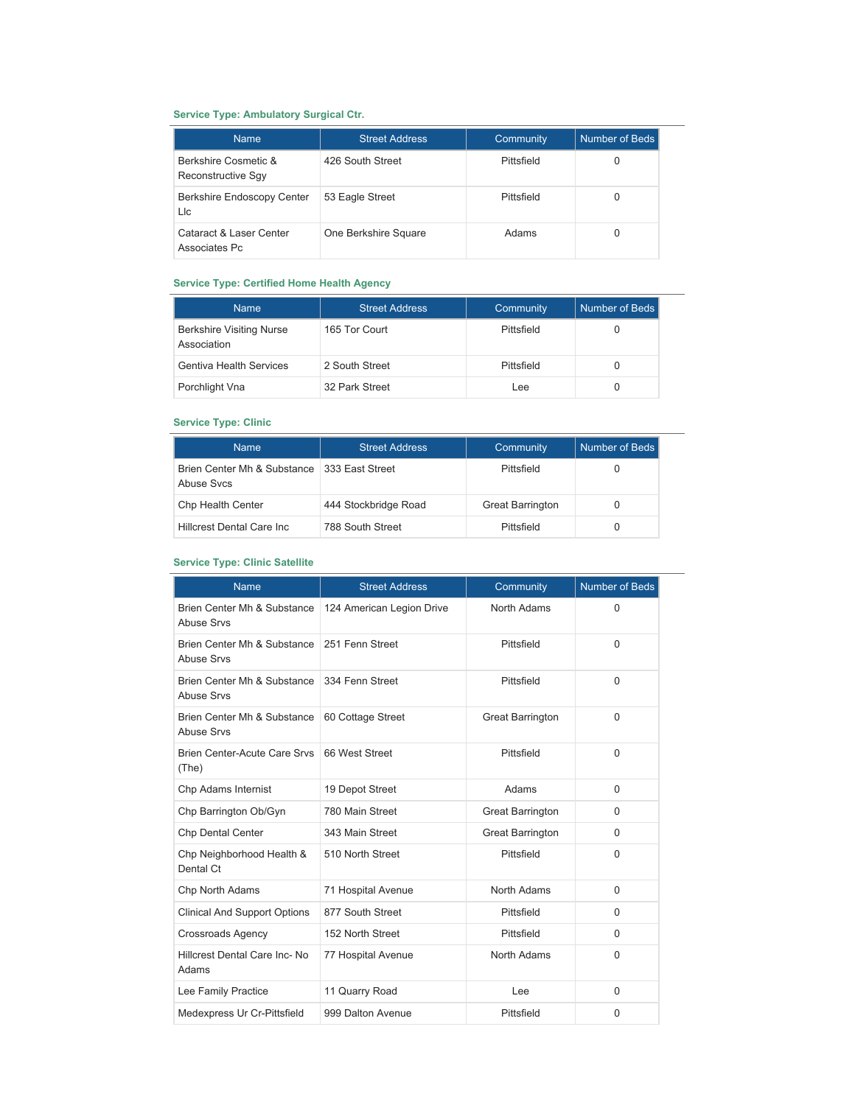## **Service Type: Ambulatory Surgical Ctr.**

| <b>Name</b>                                | <b>Street Address</b> | <b>Community</b> | Number of Beds |
|--------------------------------------------|-----------------------|------------------|----------------|
| Berkshire Cosmetic &<br>Reconstructive Sqy | 426 South Street      | Pittsfield       |                |
| <b>Berkshire Endoscopy Center</b><br>Llc   | 53 Eagle Street       | Pittsfield       |                |
| Cataract & Laser Center<br>Associates Pc   | One Berkshire Square  | Adams            |                |

### **Service Type: Certified Home Health Agency**

| <b>Name</b>                                    | <b>Street Address</b> | Community  | Number of Beds |
|------------------------------------------------|-----------------------|------------|----------------|
| <b>Berkshire Visiting Nurse</b><br>Association | 165 Tor Court         | Pittsfield |                |
| <b>Gentiva Health Services</b>                 | 2 South Street        | Pittsfield |                |
| Porchlight Vna                                 | 32 Park Street        | Lee        |                |

### **Service Type: Clinic**

| <b>Name</b>                               | <b>Street Address</b> | Community               | Number of Beds |
|-------------------------------------------|-----------------------|-------------------------|----------------|
| Brien Center Mh & Substance<br>Abuse Sycs | 333 East Street       | Pittsfield              |                |
| Chp Health Center                         | 444 Stockbridge Road  | <b>Great Barrington</b> |                |
| Hillcrest Dental Care Inc.                | 788 South Street      | Pittsfield              |                |

## **Service Type: Clinic Satellite**

| <b>Name</b>                                      | <b>Street Address</b>     | Community               | <b>Number of Beds</b> |
|--------------------------------------------------|---------------------------|-------------------------|-----------------------|
| Brien Center Mh & Substance<br>Abuse Srvs        | 124 American Legion Drive | North Adams             | $\Omega$              |
| Brien Center Mh & Substance<br><b>Abuse Srvs</b> | 251 Fenn Street           | Pittsfield              | $\Omega$              |
| Brien Center Mh & Substance<br><b>Abuse Srvs</b> | 334 Fenn Street           | Pittsfield              | $\Omega$              |
| Brien Center Mh & Substance<br><b>Abuse Srvs</b> | 60 Cottage Street         | <b>Great Barrington</b> | $\Omega$              |
| Brien Center-Acute Care Srvs<br>(The)            | 66 West Street            | Pittsfield              | $\Omega$              |
| Chp Adams Internist                              | 19 Depot Street           | Adams                   | $\Omega$              |
| Chp Barrington Ob/Gyn                            | 780 Main Street           | <b>Great Barrington</b> | $\Omega$              |
| <b>Chp Dental Center</b>                         | 343 Main Street           | <b>Great Barrington</b> | $\Omega$              |
| Chp Neighborhood Health &<br>Dental Ct           | 510 North Street          | Pittsfield              | $\Omega$              |
| Chp North Adams                                  | 71 Hospital Avenue        | North Adams             | $\Omega$              |
| <b>Clinical And Support Options</b>              | 877 South Street          | Pittsfield              | $\Omega$              |
| <b>Crossroads Agency</b>                         | 152 North Street          | Pittsfield              | $\Omega$              |
| Hillcrest Dental Care Inc- No<br>Adams           | 77 Hospital Avenue        | North Adams             | $\Omega$              |
| Lee Family Practice                              | 11 Quarry Road            | Lee                     | $\Omega$              |
| Medexpress Ur Cr-Pittsfield                      | 999 Dalton Avenue         | Pittsfield              | $\Omega$              |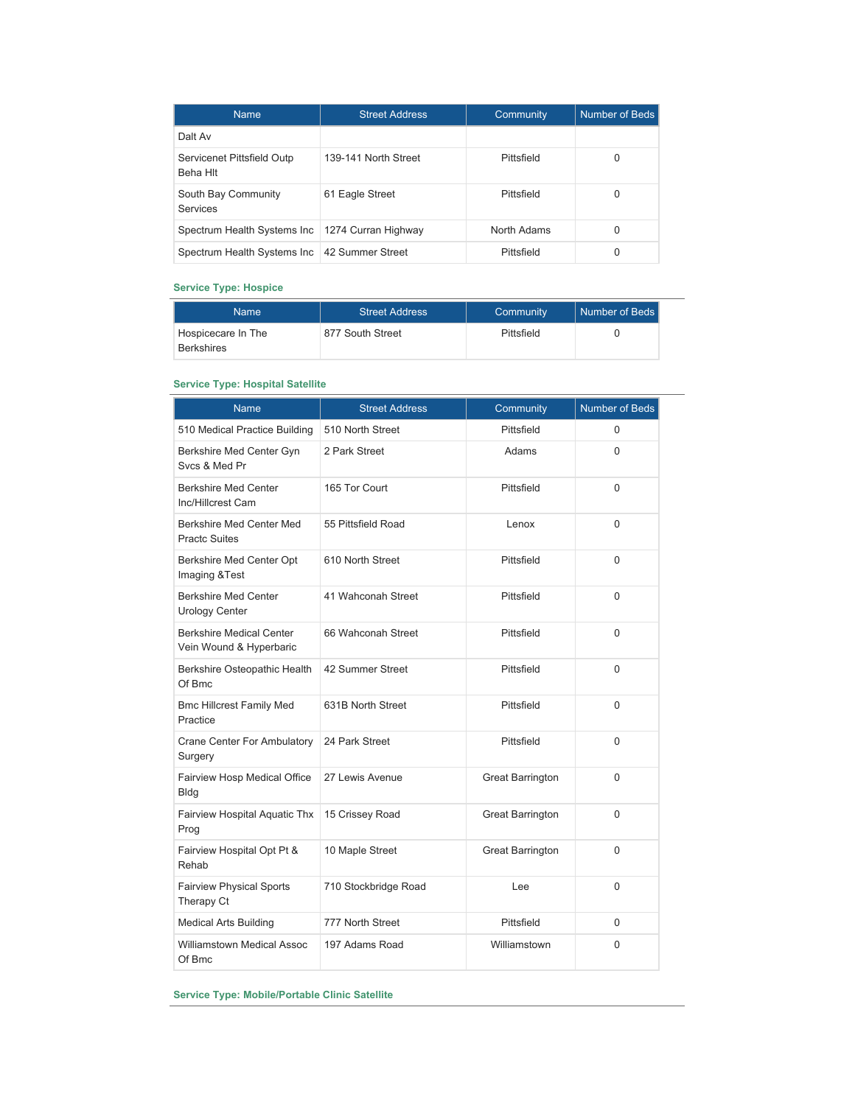| <b>Name</b>                                       | <b>Street Address</b> | Community   | Number of Beds |
|---------------------------------------------------|-----------------------|-------------|----------------|
| Dalt Av                                           |                       |             |                |
| Servicenet Pittsfield Outp<br>Beha Hlt            | 139-141 North Street  | Pittsfield  | 0              |
| South Bay Community<br>Services                   | 61 Eagle Street       | Pittsfield  | 0              |
| Spectrum Health Systems Inc   1274 Curran Highway |                       | North Adams | 0              |
| Spectrum Health Systems Inc   42 Summer Street    |                       | Pittsfield  | 0              |

### **Service Type: Hospice**

| <b>Name</b>                             | <b>Street Address</b> | Community  | Number of Beds <b>I</b> |
|-----------------------------------------|-----------------------|------------|-------------------------|
| Hospicecare In The<br><b>Berkshires</b> | 877 South Street      | Pittsfield |                         |

## **Service Type: Hospital Satellite**

| <b>Name</b>                                                | <b>Street Address</b> | Community               | <b>Number of Beds</b> |
|------------------------------------------------------------|-----------------------|-------------------------|-----------------------|
| 510 Medical Practice Building                              | 510 North Street      | Pittsfield              | $\Omega$              |
| Berkshire Med Center Gyn<br>Svcs & Med Pr                  | 2 Park Street         | Adams                   | $\Omega$              |
| Berkshire Med Center<br>Inc/Hillcrest Cam                  | 165 Tor Court         | Pittsfield              | $\Omega$              |
| Berkshire Med Center Med<br><b>Practc Suites</b>           | 55 Pittsfield Road    | Lenox                   | $\Omega$              |
| Berkshire Med Center Opt<br>Imaging & Test                 | 610 North Street      | Pittsfield              | $\Omega$              |
| <b>Berkshire Med Center</b><br><b>Urology Center</b>       | 41 Wahconah Street    | Pittsfield              | $\mathbf{0}$          |
| <b>Berkshire Medical Center</b><br>Vein Wound & Hyperbaric | 66 Wahconah Street    | Pittsfield              | 0                     |
| Berkshire Osteopathic Health<br>Of Bmc                     | 42 Summer Street      | Pittsfield              | $\Omega$              |
| <b>Bmc Hillcrest Family Med</b><br>Practice                | 631B North Street     | Pittsfield              | 0                     |
| <b>Crane Center For Ambulatory</b><br>Surgery              | 24 Park Street        | Pittsfield              | $\Omega$              |
| Fairview Hosp Medical Office<br><b>Bldg</b>                | 27 Lewis Avenue       | <b>Great Barrington</b> | 0                     |
| Fairview Hospital Aquatic Thx<br>Prog                      | 15 Crissey Road       | <b>Great Barrington</b> | $\Omega$              |
| Fairview Hospital Opt Pt &<br>Rehab                        | 10 Maple Street       | <b>Great Barrington</b> | 0                     |
| <b>Fairview Physical Sports</b><br>Therapy Ct              | 710 Stockbridge Road  | Lee                     | $\Omega$              |
| <b>Medical Arts Building</b>                               | 777 North Street      | Pittsfield              | $\Omega$              |
| <b>Williamstown Medical Assoc</b><br>Of Bmc                | 197 Adams Road        | Williamstown            | 0                     |

**Service Type: Mobile/Portable Clinic Satellite**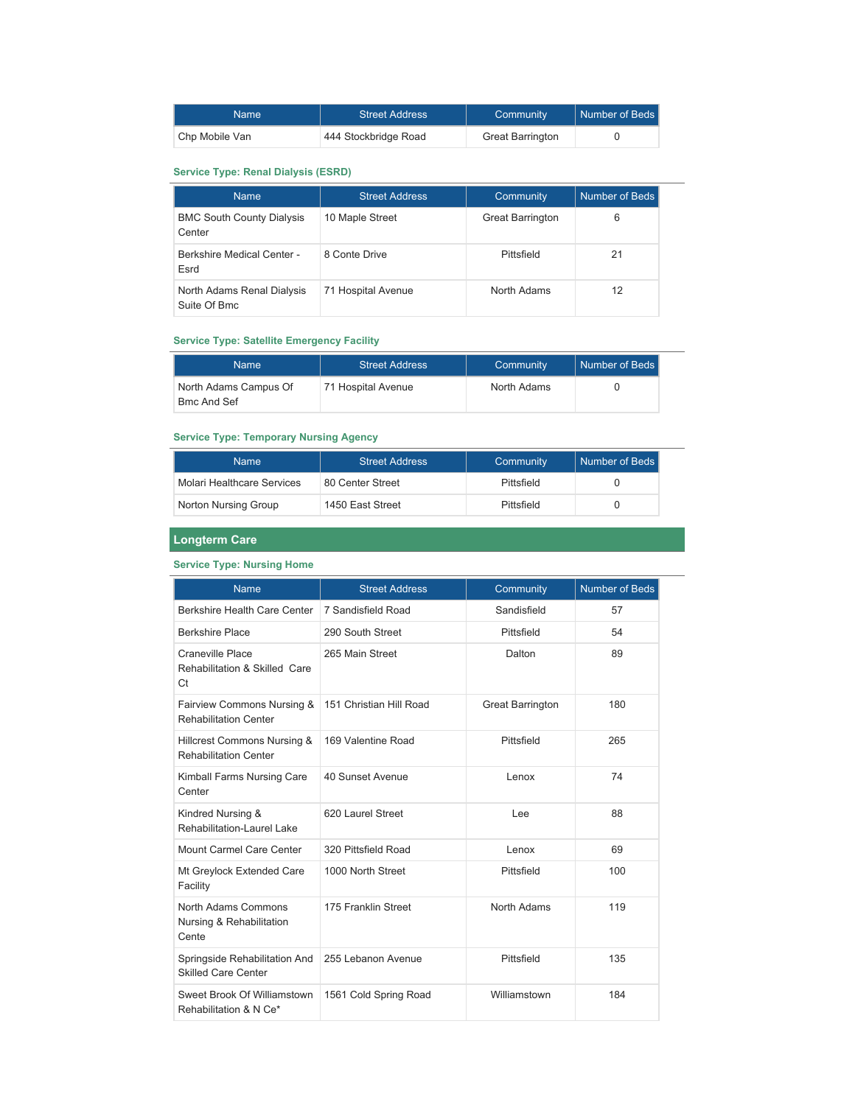| Name           | <b>Street Address</b> | Community               | Number of Beds |
|----------------|-----------------------|-------------------------|----------------|
| Chp Mobile Van | 444 Stockbridge Road  | <b>Great Barrington</b> |                |

## **Service Type: Renal Dialysis (ESRD)**

| <b>Name</b>                                | <b>Street Address</b> | Community               | Number of Beds |
|--------------------------------------------|-----------------------|-------------------------|----------------|
| <b>BMC South County Dialysis</b><br>Center | 10 Maple Street       | <b>Great Barrington</b> | 6              |
| <b>Berkshire Medical Center -</b><br>Esrd  | 8 Conte Drive         | Pittsfield              | 21             |
| North Adams Renal Dialysis<br>Suite Of Bmc | 71 Hospital Avenue    | North Adams             | 12             |

## **Service Type: Satellite Emergency Facility**

| Name                                        | <b>Street Address</b> | Community   | <b>Number of Beds I</b> |
|---------------------------------------------|-----------------------|-------------|-------------------------|
| North Adams Campus Of<br><b>Bmc And Sef</b> | 71 Hospital Avenue    | North Adams |                         |

## **Service Type: Temporary Nursing Agency**

| <b>Name</b>                | <b>Street Address</b> | Community  | l Number of Beds l |
|----------------------------|-----------------------|------------|--------------------|
| Molari Healthcare Services | 80 Center Street      | Pittsfield |                    |
| Norton Nursing Group       | 1450 East Street      | Pittsfield |                    |

## **Longterm Care**

## **Service Type: Nursing Home**

| <b>Name</b>                                                 | <b>Street Address</b><br>Community |                         | <b>Number of Beds</b> |
|-------------------------------------------------------------|------------------------------------|-------------------------|-----------------------|
| Berkshire Health Care Center                                | 7 Sandisfield Road                 | Sandisfield             | 57                    |
| <b>Berkshire Place</b>                                      | 290 South Street                   | Pittsfield              | 54                    |
| Craneville Place<br>Rehabilitation & Skilled Care<br>Ct     | 265 Main Street                    | Dalton                  |                       |
| Fairview Commons Nursing &<br><b>Rehabilitation Center</b>  | 151 Christian Hill Road            | <b>Great Barrington</b> | 180                   |
| Hillcrest Commons Nursing &<br><b>Rehabilitation Center</b> | 169 Valentine Road                 | Pittsfield              | 265                   |
| Kimball Farms Nursing Care<br>Center                        | 40 Sunset Avenue                   | Lenox                   | 74                    |
| Kindred Nursing &<br>Rehabilitation-LaureLLake              | 620 Laurel Street                  | Lee                     | 88                    |
| Mount Carmel Care Center                                    | 320 Pittsfield Road                | Lenox                   | 69                    |
| Mt Greylock Extended Care<br>Facility                       | 1000 North Street                  | Pittsfield              | 100                   |
| North Adams Commons<br>Nursing & Rehabilitation<br>Cente    | 175 Franklin Street                | North Adams             | 119                   |
| Springside Rehabilitation And<br><b>Skilled Care Center</b> | 255 Lebanon Avenue                 | Pittsfield              | 135                   |
| Sweet Brook Of Williamstown<br>Rehabilitation & N Ce*       | 1561 Cold Spring Road              | Williamstown            | 184                   |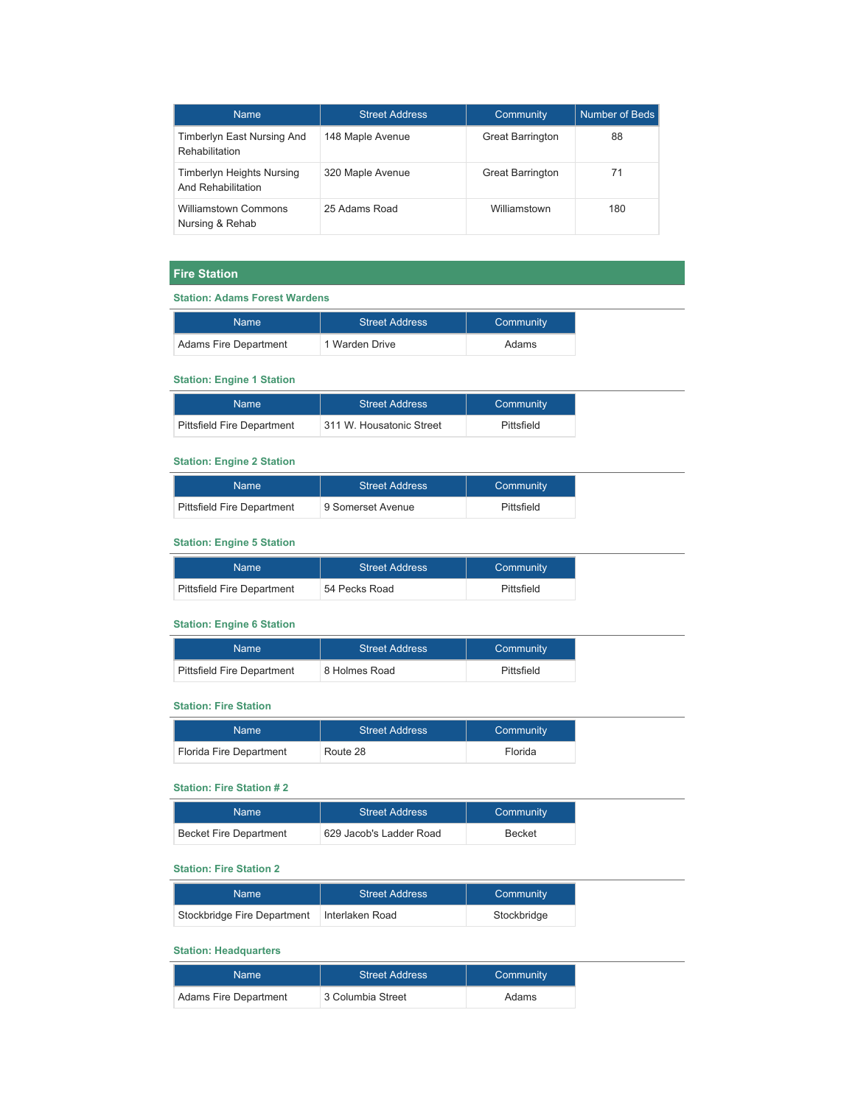| <b>Name</b>                                            | <b>Street Address</b> | <b>Community</b>        | Number of Beds |
|--------------------------------------------------------|-----------------------|-------------------------|----------------|
| Timberlyn East Nursing And<br>Rehabilitation           | 148 Maple Avenue      | <b>Great Barrington</b> | 88             |
| <b>Timberlyn Heights Nursing</b><br>And Rehabilitation | 320 Maple Avenue      | <b>Great Barrington</b> | 71             |
| <b>Williamstown Commons</b><br>Nursing & Rehab         | 25 Adams Road         | Williamstown            | 180            |

## **Fire Station**

#### **Station: Adams Forest Wardens**

| Name                  | <b>Street Address</b> | Community |
|-----------------------|-----------------------|-----------|
| Adams Fire Department | 1 Warden Drive        | Adams     |

#### **Station: Engine 1 Station**

| Name                              | <b>Street Address</b>    | Community  |
|-----------------------------------|--------------------------|------------|
| <b>Pittsfield Fire Department</b> | 311 W. Housatonic Street | Pittsfield |

## **Station: Engine 2 Station**

| Name !                            | <b>Street Address</b> | Community  |
|-----------------------------------|-----------------------|------------|
| <b>Pittsfield Fire Department</b> | 9 Somerset Avenue     | Pittsfield |

## **Station: Engine 5 Station**

| <b>Name</b>                       | <b>Street Address</b> | Community  |
|-----------------------------------|-----------------------|------------|
| <b>Pittsfield Fire Department</b> | 54 Pecks Road         | Pittsfield |

## **Station: Engine 6 Station**

| Name                              | <b>Street Address</b> | Community  |
|-----------------------------------|-----------------------|------------|
| <b>Pittsfield Fire Department</b> | 8 Holmes Road         | Pittsfield |

## **Station: Fire Station**

| <b>Name</b>             | <b>Street Address</b> | Community |
|-------------------------|-----------------------|-----------|
| Florida Fire Department | Route 28              | Florida   |

## **Station: Fire Station # 2**

| Name                          | <b>Street Address</b>   | Community     |
|-------------------------------|-------------------------|---------------|
| <b>Becket Fire Department</b> | 629 Jacob's Ladder Road | <b>Becket</b> |

#### **Station: Fire Station 2**

| Name                        | <b>Street Address</b> | Community   |
|-----------------------------|-----------------------|-------------|
| Stockbridge Fire Department | ∣Interlaken Road      | Stockbridge |

## **Station: Headquarters**

| Name                  | <b>Street Address</b> | Community |
|-----------------------|-----------------------|-----------|
| Adams Fire Department | 3 Columbia Street     | Adams     |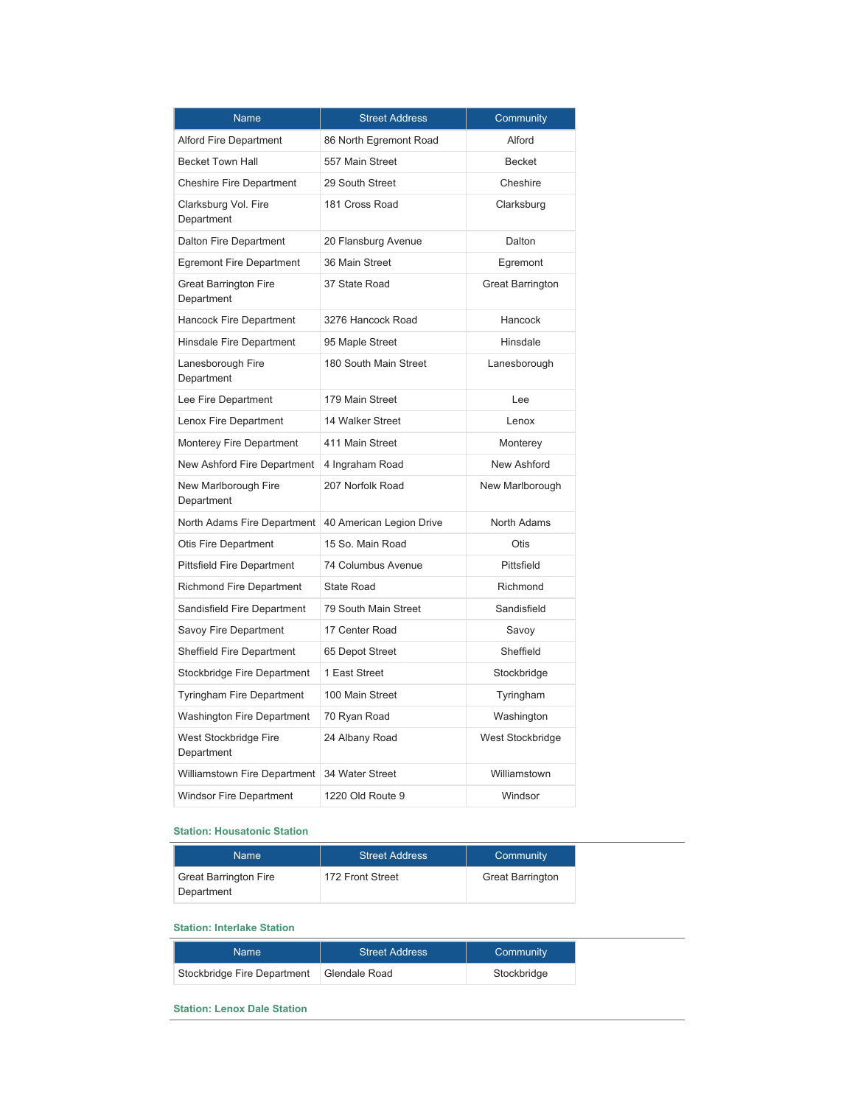| Name                                       | <b>Street Address</b>    | Community               |
|--------------------------------------------|--------------------------|-------------------------|
| <b>Alford Fire Department</b>              | 86 North Egremont Road   | Alford                  |
| <b>Becket Town Hall</b>                    | 557 Main Street          | <b>Becket</b>           |
| <b>Cheshire Fire Department</b>            | 29 South Street          | Cheshire                |
| Clarksburg Vol. Fire<br>Department         | 181 Cross Road           | Clarksburg              |
| Dalton Fire Department                     | 20 Flansburg Avenue      | Dalton                  |
| <b>Egremont Fire Department</b>            | 36 Main Street           | Egremont                |
| <b>Great Barrington Fire</b><br>Department | 37 State Road            | <b>Great Barrington</b> |
| <b>Hancock Fire Department</b>             | 3276 Hancock Road        | Hancock                 |
| <b>Hinsdale Fire Department</b>            | 95 Maple Street          | Hinsdale                |
| Lanesborough Fire<br>Department            | 180 South Main Street    | Lanesborough            |
| Lee Fire Department                        | 179 Main Street          | Lee                     |
| Lenox Fire Department                      | 14 Walker Street         | Lenox                   |
| Monterey Fire Department                   | 411 Main Street          | Monterey                |
| New Ashford Fire Department                | 4 Ingraham Road          | New Ashford             |
| New Marlborough Fire<br>Department         | 207 Norfolk Road         | New Marlborough         |
| North Adams Fire Department                | 40 American Legion Drive | North Adams             |
| <b>Otis Fire Department</b>                | 15 So. Main Road         | Otis                    |
| <b>Pittsfield Fire Department</b>          | 74 Columbus Avenue       | Pittsfield              |
| <b>Richmond Fire Department</b>            | <b>State Road</b>        | Richmond                |
| Sandisfield Fire Department                | 79 South Main Street     | Sandisfield             |
| Savoy Fire Department                      | 17 Center Road           | Savoy                   |
| <b>Sheffield Fire Department</b>           | 65 Depot Street          | Sheffield               |
| Stockbridge Fire Department                | 1 East Street            | Stockbridge             |
| Tyringham Fire Department                  | 100 Main Street          | Tyringham               |
| <b>Washington Fire Department</b>          | 70 Ryan Road             | Washington              |
| West Stockbridge Fire<br>Department        | 24 Albany Road           | West Stockbridge        |
| Williamstown Fire Department               | 34 Water Street          | Williamstown            |
| <b>Windsor Fire Department</b>             | 1220 Old Route 9         | Windsor                 |

### **Station: Housatonic Station**

| Name                                       | <b>Street Address</b> | Community               |
|--------------------------------------------|-----------------------|-------------------------|
| <b>Great Barrington Fire</b><br>Department | 172 Front Street      | <b>Great Barrington</b> |

### **Station: Interlake Station**

| Name                        | <b>Street Address</b> | Community   |
|-----------------------------|-----------------------|-------------|
| Stockbridge Fire Department | Glendale Road         | Stockbridge |

#### **Station: Lenox Dale Station**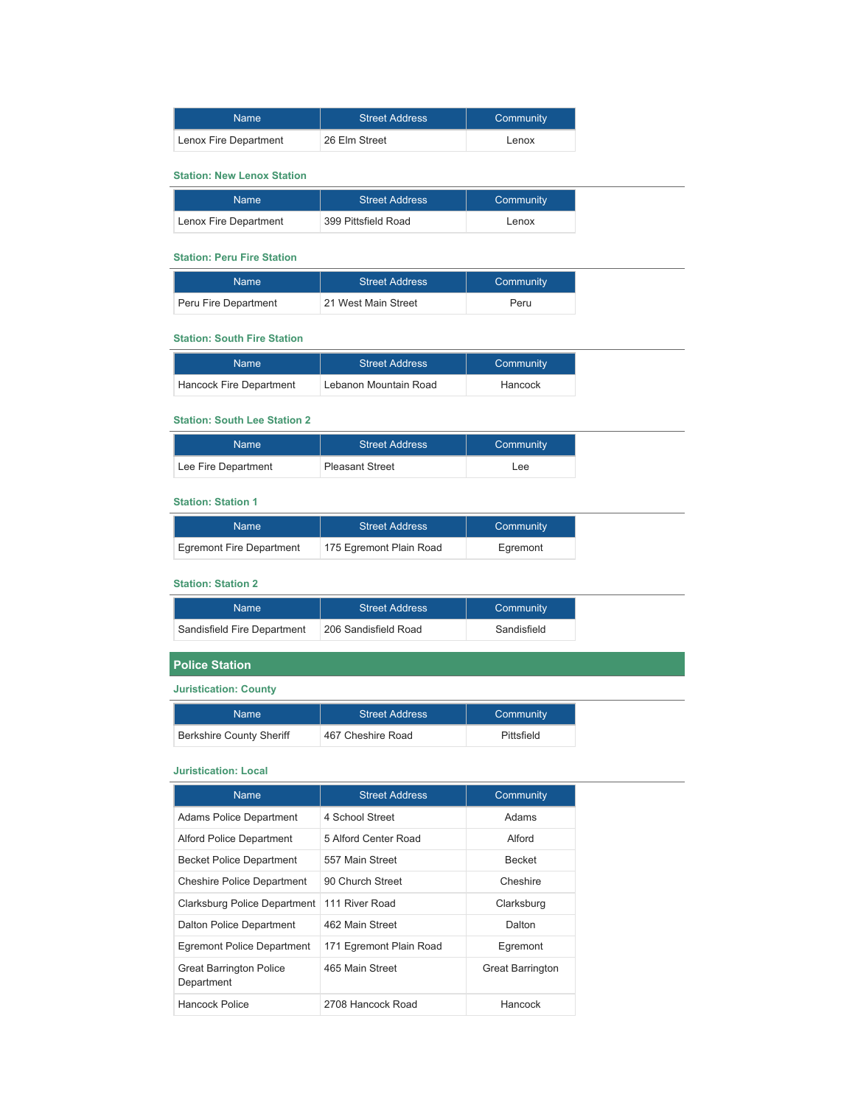| Name                  | <b>Street Address</b> | Community |
|-----------------------|-----------------------|-----------|
| Lenox Fire Department | 26 Elm Street         | Lenox     |

### **Station: New Lenox Station**

| Name                  | <b>Street Address</b> | Community |
|-----------------------|-----------------------|-----------|
| Lenox Fire Department | 399 Pittsfield Road   | Lenox     |

#### **Station: Peru Fire Station**

| Name                 | <b>Street Address</b> | Community |
|----------------------|-----------------------|-----------|
| Peru Fire Department | 21 West Main Street   | Peru      |

### **Station: South Fire Station**

| Name                    | <b>Street Address</b> | Community |
|-------------------------|-----------------------|-----------|
| Hancock Fire Department | Lebanon Mountain Road | Hancock   |

#### **Station: South Lee Station 2**

| Name                | <b>Street Address</b>  | Community |
|---------------------|------------------------|-----------|
| Lee Fire Department | <b>Pleasant Street</b> | Lee       |

#### **Station: Station 1**

| <b>Name</b>              | <b>Street Address</b>   | Community |
|--------------------------|-------------------------|-----------|
| Egremont Fire Department | 175 Egremont Plain Road | Earemont  |

## **Station: Station 2**

| Name                        | <b>Street Address</b> | Community   |
|-----------------------------|-----------------------|-------------|
| Sandisfield Fire Department | 206 Sandisfield Road  | Sandisfield |

## **Police Station**

## **Juristication: County**

| Name                            | <b>Street Address</b> | Community  |
|---------------------------------|-----------------------|------------|
| <b>Berkshire County Sheriff</b> | 467 Cheshire Road     | Pittsfield |

#### **Juristication: Local**

| <b>Name</b>                                  | <b>Street Address</b>   | Community               |
|----------------------------------------------|-------------------------|-------------------------|
| <b>Adams Police Department</b>               | 4 School Street         | Adams                   |
| <b>Alford Police Department</b>              | 5 Alford Center Road    | Alford                  |
| <b>Becket Police Department</b>              | 557 Main Street         | <b>Becket</b>           |
| <b>Cheshire Police Department</b>            | 90 Church Street        | Cheshire                |
| Clarksburg Police Department                 | 111 River Road          | Clarksburg              |
| Dalton Police Department                     | 462 Main Street         | Dalton                  |
| Egremont Police Department                   | 171 Egremont Plain Road | Egremont                |
| <b>Great Barrington Police</b><br>Department | 465 Main Street         | <b>Great Barrington</b> |
| Hancock Police                               | 2708 Hancock Road       | Hancock                 |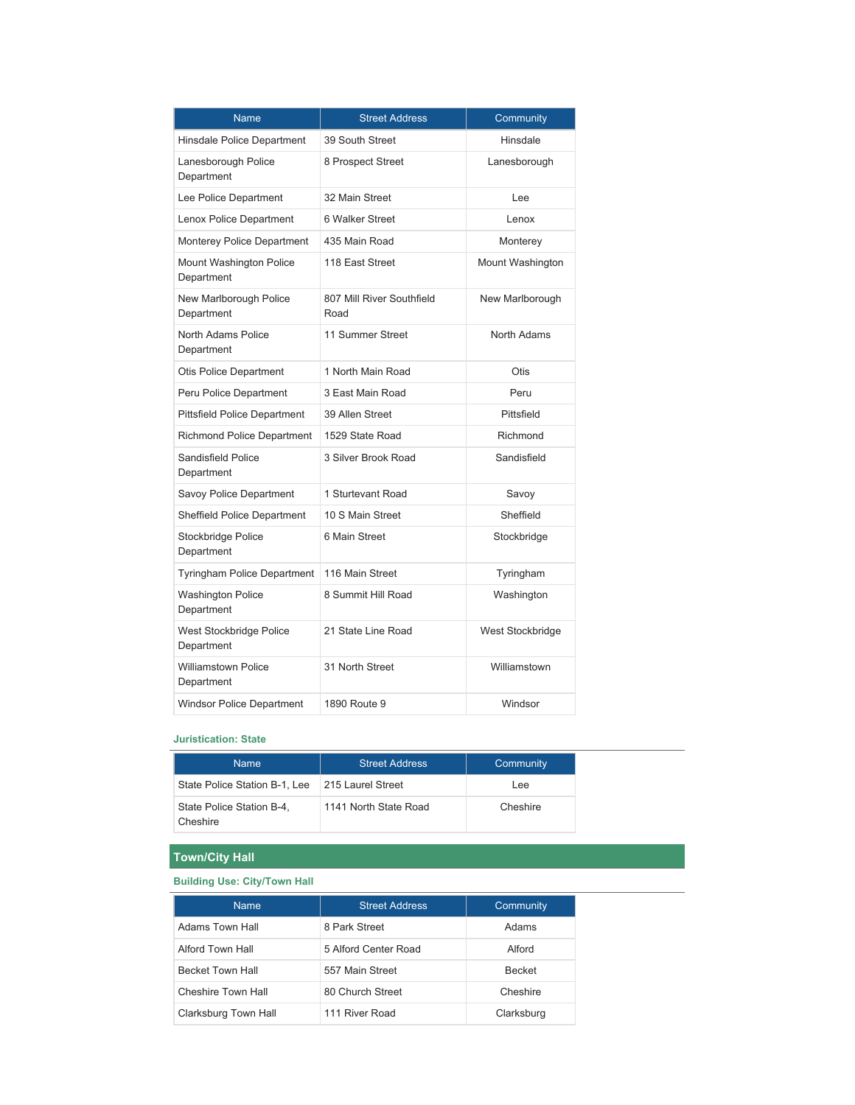| <b>Name</b>                              | <b>Street Address</b>             | Community        |
|------------------------------------------|-----------------------------------|------------------|
| Hinsdale Police Department               | 39 South Street                   | Hinsdale         |
| Lanesborough Police<br>Department        | 8 Prospect Street                 | Lanesborough     |
| Lee Police Department                    | 32 Main Street                    | Lee              |
| Lenox Police Department                  | 6 Walker Street                   | Lenox            |
| <b>Monterey Police Department</b>        | 435 Main Road                     | Monterey         |
| Mount Washington Police<br>Department    | 118 East Street                   | Mount Washington |
| New Marlborough Police<br>Department     | 807 Mill River Southfield<br>Road | New Marlborough  |
| North Adams Police<br>Department         | 11 Summer Street                  | North Adams      |
| <b>Otis Police Department</b>            | 1 North Main Road                 | Otis             |
| Peru Police Department                   | 3 East Main Road                  | Peru             |
| <b>Pittsfield Police Department</b>      | 39 Allen Street                   | Pittsfield       |
| <b>Richmond Police Department</b>        | 1529 State Road                   | Richmond         |
| <b>Sandisfield Police</b><br>Department  | 3 Silver Brook Road               | Sandisfield      |
| Savoy Police Department                  | 1 Sturtevant Road                 | Savoy            |
| <b>Sheffield Police Department</b>       | 10 S Main Street                  | Sheffield        |
| Stockbridge Police<br>Department         | 6 Main Street                     | Stockbridge      |
| Tyringham Police Department              | 116 Main Street                   | Tyringham        |
| <b>Washington Police</b><br>Department   | 8 Summit Hill Road                | Washington       |
| West Stockbridge Police<br>Department    | 21 State Line Road                | West Stockbridge |
| <b>Williamstown Police</b><br>Department | 31 North Street                   | Williamstown     |
| <b>Windsor Police Department</b>         | 1890 Route 9                      | Windsor          |

### **Juristication: State**

| <b>Name</b>                           | <b>Street Address</b> | Community |
|---------------------------------------|-----------------------|-----------|
| State Police Station B-1, Lee         | 215 Laurel Street     | Lee       |
| State Police Station B-4.<br>Cheshire | 1141 North State Road | Cheshire  |

## **Town/City Hall**

## **Building Use: City/Town Hall**

| <b>Name</b>             | <b>Street Address</b> | Community     |
|-------------------------|-----------------------|---------------|
| Adams Town Hall         | 8 Park Street         | Adams         |
| Alford Town Hall        | 5 Alford Center Road  | Alford        |
| <b>Becket Town Hall</b> | 557 Main Street       | <b>Becket</b> |
| Cheshire Town Hall      | 80 Church Street      | Cheshire      |
| Clarksburg Town Hall    | 111 River Road        | Clarksburg    |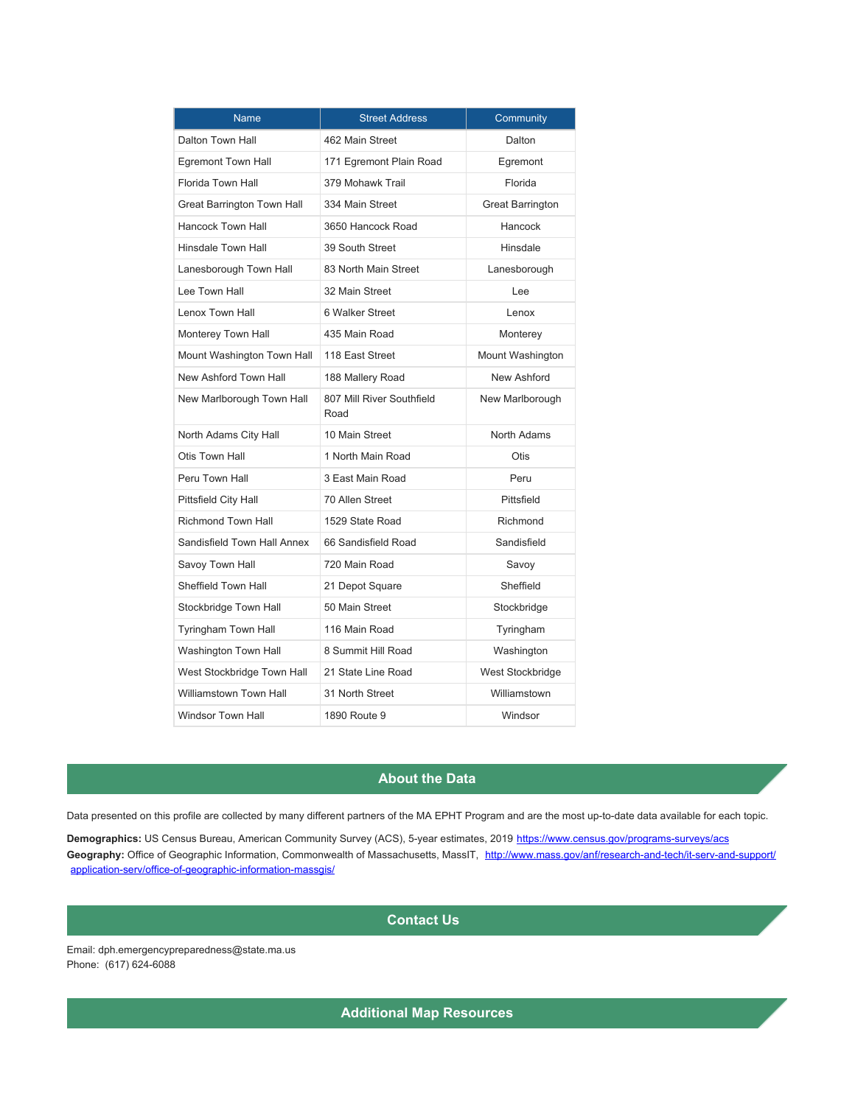| <b>Name</b>                   | <b>Street Address</b>             | Community               |
|-------------------------------|-----------------------------------|-------------------------|
| Dalton Town Hall              | 462 Main Street                   | Dalton                  |
| Egremont Town Hall            | 171 Egremont Plain Road           | Egremont                |
| <b>Florida Town Hall</b>      | 379 Mohawk Trail                  | Florida                 |
| Great Barrington Town Hall    | 334 Main Street                   | <b>Great Barrington</b> |
| <b>Hancock Town Hall</b>      | 3650 Hancock Road                 | Hancock                 |
| <b>Hinsdale Town Hall</b>     | 39 South Street                   | Hinsdale                |
| Lanesborough Town Hall        | 83 North Main Street              | Lanesborough            |
| Lee Town Hall                 | 32 Main Street                    | Lee                     |
| Lenox Town Hall               | 6 Walker Street                   | Lenox                   |
| Monterey Town Hall            | 435 Main Road                     | Monterey                |
| Mount Washington Town Hall    | 118 East Street                   | Mount Washington        |
| New Ashford Town Hall         | 188 Mallery Road                  | New Ashford             |
| New Marlborough Town Hall     | 807 Mill River Southfield<br>Road | New Marlborough         |
| North Adams City Hall         | 10 Main Street                    | North Adams             |
| Otis Town Hall                | 1 North Main Road                 | <b>Otis</b>             |
| Peru Town Hall                | 3 East Main Road                  | Peru                    |
| Pittsfield City Hall          | 70 Allen Street                   | Pittsfield              |
| <b>Richmond Town Hall</b>     | 1529 State Road                   | Richmond                |
| Sandisfield Town Hall Annex   | 66 Sandisfield Road               | Sandisfield             |
| Savoy Town Hall               | 720 Main Road                     | Savoy                   |
| <b>Sheffield Town Hall</b>    | 21 Depot Square                   | Sheffield               |
| Stockbridge Town Hall         | 50 Main Street                    | Stockbridge             |
| <b>Tyringham Town Hall</b>    | 116 Main Road                     | Tyringham               |
| Washington Town Hall          | 8 Summit Hill Road                | Washington              |
| West Stockbridge Town Hall    | 21 State Line Road                | West Stockbridge        |
| <b>Williamstown Town Hall</b> | 31 North Street                   | Williamstown            |
| <b>Windsor Town Hall</b>      | 1890 Route 9                      | Windsor                 |

## **About the Data**

Data presented on this profile are collected by many different partners of the MA EPHT Program and are the most up-to-date data available for each topic.

**Demographics:** US Census Bureau, American Community Survey (ACS), 5-year estimates, 2019 <https://www.census.gov/programs-surveys/acs> Geography: Office of Geographic Information, Commonwealth of Massachusetts, MassIT, [http://www.mass.gov/anf/research-and-tech/it-serv-and-support/](http://www.mass.gov/anf/research-and-tech/it-serv-and-support/application-serv/office-of-geographic-information-massgis/) [application-serv/office-of-geographic-information-massgis/](http://www.mass.gov/anf/research-and-tech/it-serv-and-support/application-serv/office-of-geographic-information-massgis/)

## **Contact Us**

Email: dph.emergencypreparedness@state.ma.us Phone: (617) 624-6088

**Additional Map Resources**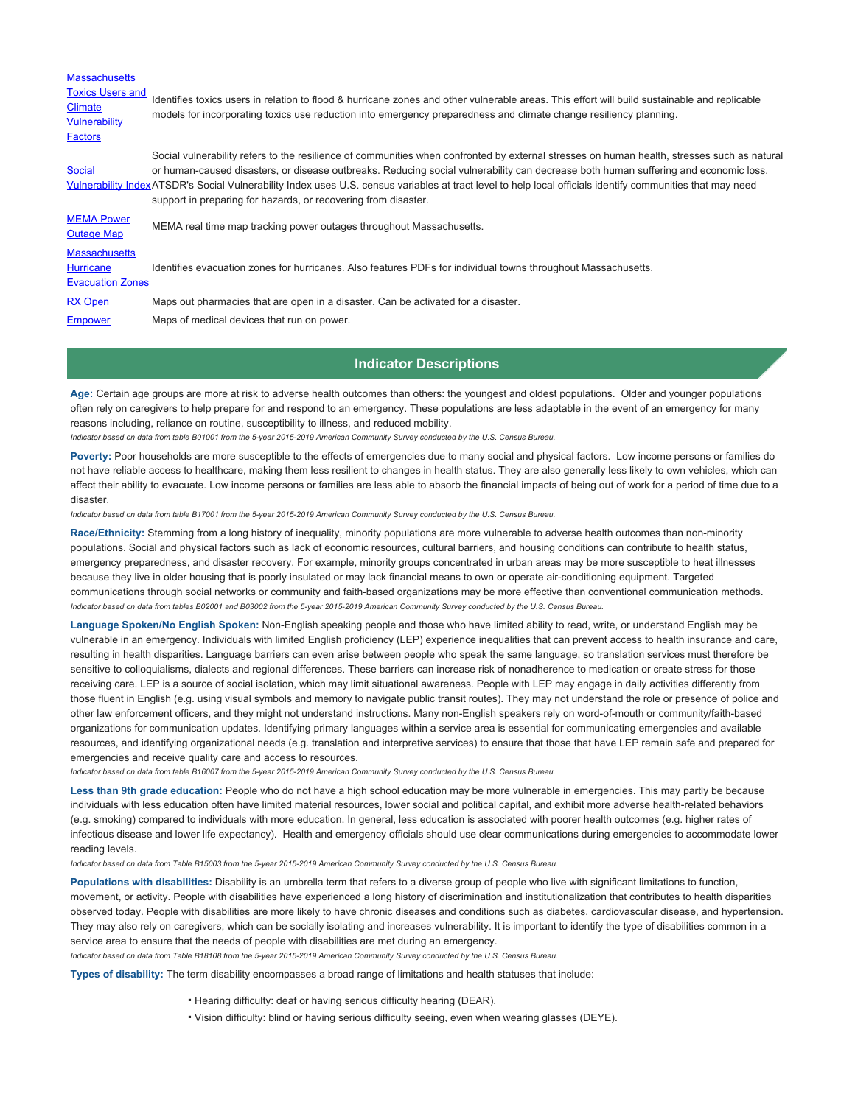| <b>Massachusetts</b>                                                                |                                                                                                                                                                                                                                                                                                                                                                                                                                                                                                                    |
|-------------------------------------------------------------------------------------|--------------------------------------------------------------------------------------------------------------------------------------------------------------------------------------------------------------------------------------------------------------------------------------------------------------------------------------------------------------------------------------------------------------------------------------------------------------------------------------------------------------------|
| <b>Toxics Users and</b><br><b>Climate</b><br><b>Vulnerability</b><br><b>Factors</b> | Identifies toxics users in relation to flood & hurricane zones and other vulnerable areas. This effort will build sustainable and replicable<br>models for incorporating toxics use reduction into emergency preparedness and climate change resiliency planning.                                                                                                                                                                                                                                                  |
| <b>Social</b>                                                                       | Social vulnerability refers to the resilience of communities when confronted by external stresses on human health, stresses such as natural<br>or human-caused disasters, or disease outbreaks. Reducing social vulnerability can decrease both human suffering and economic loss.<br>Vulnerability IndexATSDR's Social Vulnerability Index uses U.S. census variables at tract level to help local officials identify communities that may need<br>support in preparing for hazards, or recovering from disaster. |
| <b>MEMA Power</b><br><b>Outage Map</b>                                              | MEMA real time map tracking power outages throughout Massachusetts.                                                                                                                                                                                                                                                                                                                                                                                                                                                |
| <b>Massachusetts</b><br><b>Hurricane</b><br><b>Evacuation Zones</b>                 | Identifies evacuation zones for hurricanes. Also features PDFs for individual towns throughout Massachusetts.                                                                                                                                                                                                                                                                                                                                                                                                      |
| <b>RX Open</b>                                                                      | Maps out pharmacies that are open in a disaster. Can be activated for a disaster.                                                                                                                                                                                                                                                                                                                                                                                                                                  |
| <b>Empower</b>                                                                      | Maps of medical devices that run on power.                                                                                                                                                                                                                                                                                                                                                                                                                                                                         |

#### **Indicator Descriptions**

**Age:** Certain age groups are more at risk to adverse health outcomes than others: the youngest and oldest populations. Older and younger populations often rely on caregivers to help prepare for and respond to an emergency. These populations are less adaptable in the event of an emergency for many reasons including, reliance on routine, susceptibility to illness, and reduced mobility.

*Indicator based on data from table B01001 from the 5-year 2015-2019 American Community Survey conducted by the U.S. Census Bureau.*

Poverty: Poor households are more susceptible to the effects of emergencies due to many social and physical factors. Low income persons or families do not have reliable access to healthcare, making them less resilient to changes in health status. They are also generally less likely to own vehicles, which can affect their ability to evacuate. Low income persons or families are less able to absorb the financial impacts of being out of work for a period of time due to a disaster.

*Indicator based on data from table B17001 from the 5-year 2015-2019 American Community Survey conducted by the U.S. Census Bureau.*

**Race/Ethnicity:** Stemming from a long history of inequality, minority populations are more vulnerable to adverse health outcomes than non-minority populations. Social and physical factors such as lack of economic resources, cultural barriers, and housing conditions can contribute to health status, emergency preparedness, and disaster recovery. For example, minority groups concentrated in urban areas may be more susceptible to heat illnesses because they live in older housing that is poorly insulated or may lack financial means to own or operate air-conditioning equipment. Targeted communications through social networks or community and faith-based organizations may be more effective than conventional communication methods. *Indicator based on data from tables B02001 and B03002 from the 5-year 2015-2019 American Community Survey conducted by the U.S. Census Bureau.*

**Language Spoken/No English Spoken:** Non-English speaking people and those who have limited ability to read, write, or understand English may be vulnerable in an emergency. Individuals with limited English proficiency (LEP) experience inequalities that can prevent access to health insurance and care, resulting in health disparities. Language barriers can even arise between people who speak the same language, so translation services must therefore be sensitive to colloquialisms, dialects and regional differences. These barriers can increase risk of nonadherence to medication or create stress for those receiving care. LEP is a source of social isolation, which may limit situational awareness. People with LEP may engage in daily activities differently from those fluent in English (e.g. using visual symbols and memory to navigate public transit routes). They may not understand the role or presence of police and other law enforcement officers, and they might not understand instructions. Many non-English speakers rely on word-of-mouth or community/faith-based organizations for communication updates. Identifying primary languages within a service area is essential for communicating emergencies and available resources, and identifying organizational needs (e.g. translation and interpretive services) to ensure that those that have LEP remain safe and prepared for emergencies and receive quality care and access to resources.

*Indicator based on data from table B16007 from the 5-year 2015-2019 American Community Survey conducted by the U.S. Census Bureau.*

Less than 9th grade education: People who do not have a high school education may be more vulnerable in emergencies. This may partly be because individuals with less education often have limited material resources, lower social and political capital, and exhibit more adverse health-related behaviors (e.g. smoking) compared to individuals with more education. In general, less education is associated with poorer health outcomes (e.g. higher rates of infectious disease and lower life expectancy). Health and emergency officials should use clear communications during emergencies to accommodate lower reading levels.

*Indicator based on data from Table B15003 from the 5-year 2015-2019 American Community Survey conducted by the U.S. Census Bureau.*

**Populations with disabilities:** Disability is an umbrella term that refers to a diverse group of people who live with significant limitations to function, movement, or activity. People with disabilities have experienced a long history of discrimination and institutionalization that contributes to health disparities observed today. People with disabilities are more likely to have chronic diseases and conditions such as diabetes, cardiovascular disease, and hypertension. They may also rely on caregivers, which can be socially isolating and increases vulnerability. It is important to identify the type of disabilities common in a service area to ensure that the needs of people with disabilities are met during an emergency.

*Indicator based on data from Table B18108 from the 5-year 2015-2019 American Community Survey conducted by the U.S. Census Bureau.*

**Types of disability:** The term disability encompasses a broad range of limitations and health statuses that include:

- Hearing difficulty: deaf or having serious difficulty hearing (DEAR).
- Vision difficulty: blind or having serious difficulty seeing, even when wearing glasses (DEYE).